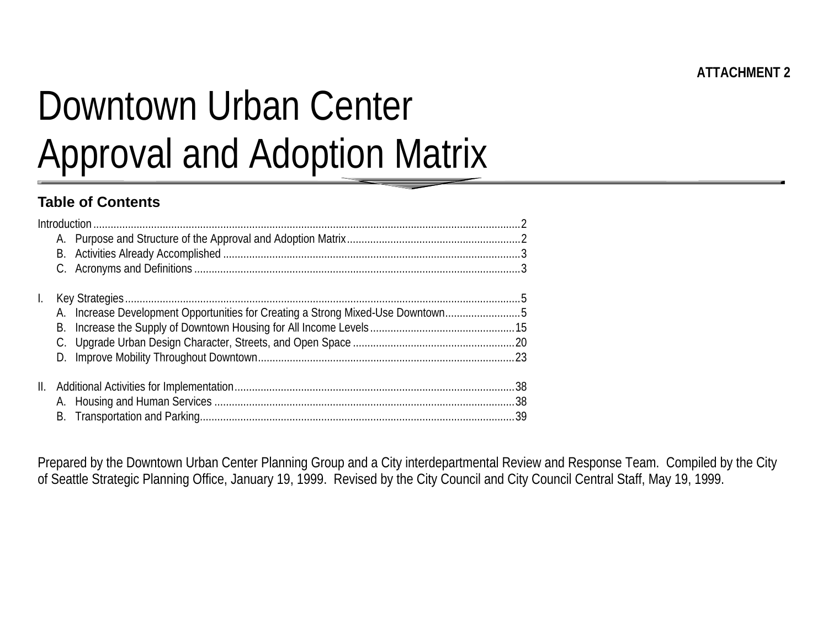# Downtown Urban Center Approval and Adoption Matrix

# **Table of Contents**

| A. Increase Development Opportunities for Creating a Strong Mixed-Use Downtown5<br>В.<br>II. |  |  |
|----------------------------------------------------------------------------------------------|--|--|
|                                                                                              |  |  |
|                                                                                              |  |  |
|                                                                                              |  |  |
|                                                                                              |  |  |
|                                                                                              |  |  |
|                                                                                              |  |  |
|                                                                                              |  |  |
|                                                                                              |  |  |
|                                                                                              |  |  |
|                                                                                              |  |  |
|                                                                                              |  |  |
|                                                                                              |  |  |
|                                                                                              |  |  |

Prepared by the Downtown Urban Center Planning Group and a City interdepartmental Review and Response Team. Compiled by the City of Seattle Strategic Planning Office, January 19, 1999. Revised by the City Council and City Council Central Staff, May 19, 1999.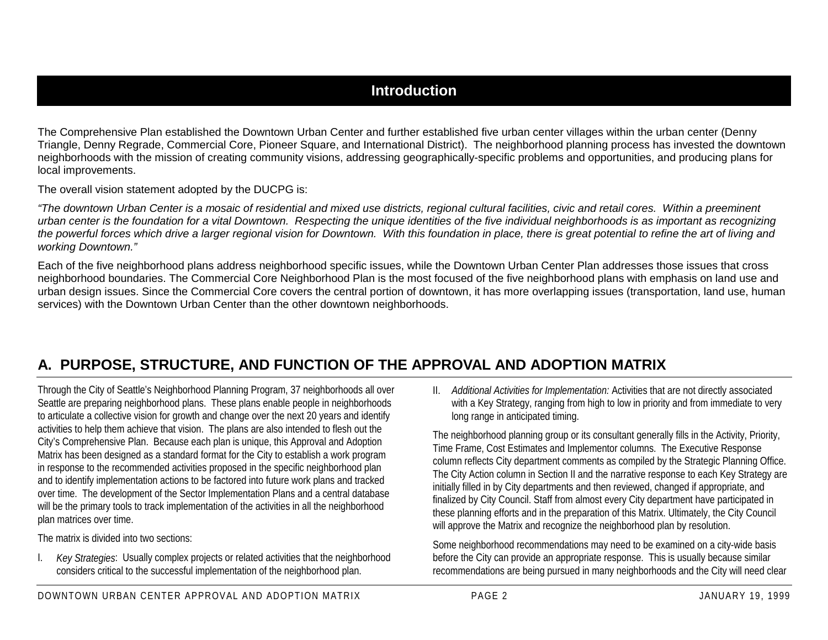## **Introduction**

The Comprehensive Plan established the Downtown Urban Center and further established five urban center villages within the urban center (Denny Triangle, Denny Regrade, Commercial Core, Pioneer Square, and International District). The neighborhood planning process has invested the downtown neighborhoods with the mission of creating community visions, addressing geographically-specific problems and opportunities, and producing plans for local improvements.

The overall vision statement adopted by the DUCPG is:

*"The downtown Urban Center is a mosaic of residential and mixed use districts, regional cultural facilities, civic and retail cores. Within a preeminent urban center is the foundation for a vital Downtown. Respecting the unique identities of the five individual neighborhoods is as important as recognizing the powerful forces which drive a larger regional vision for Downtown. With this foundation in place, there is great potential to refine the art of living and working Downtown."*

Each of the five neighborhood plans address neighborhood specific issues, while the Downtown Urban Center Plan addresses those issues that cross neighborhood boundaries. The Commercial Core Neighborhood Plan is the most focused of the five neighborhood plans with emphasis on land use and urban design issues. Since the Commercial Core covers the central portion of downtown, it has more overlapping issues (transportation, land use, human services) with the Downtown Urban Center than the other downtown neighborhoods.

## **A. PURPOSE, STRUCTURE, AND FUNCTION OF THE APPROVAL AND ADOPTION MATRIX**

Through the City of Seattle's Neighborhood Planning Program, 37 neighborhoods all over Seattle are preparing neighborhood plans. These plans enable people in neighborhoods to articulate a collective vision for growth and change over the next 20 years and identify activities to help them achieve that vision. The plans are also intended to flesh out the City's Comprehensive Plan. Because each plan is unique, this Approval and Adoption Matrix has been designed as a standard format for the City to establish a work program in response to the recommended activities proposed in the specific neighborhood plan and to identify implementation actions to be factored into future work plans and tracked over time. The development of the Sector Implementation Plans and a central database will be the primary tools to track implementation of the activities in all the neighborhood plan matrices over time.

The matrix is divided into two sections:

I. *Key Strategies*: Usually complex projects or related activities that the neighborhood considers critical to the successful implementation of the neighborhood plan.

II. *Additional Activities for Implementation:* Activities that are not directly associated with a Key Strategy, ranging from high to low in priority and from immediate to very long range in anticipated timing.

The neighborhood planning group or its consultant generally fills in the Activity, Priority, Time Frame, Cost Estimates and Implementor columns. The Executive Response column reflects City department comments as compiled by the Strategic Planning Office. The City Action column in Section II and the narrative response to each Key Strategy are initially filled in by City departments and then reviewed, changed if appropriate, and finalized by City Council. Staff from almost every City department have participated in these planning efforts and in the preparation of this Matrix. Ultimately, the City Council will approve the Matrix and recognize the neighborhood plan by resolution.

Some neighborhood recommendations may need to be examined on a city-wide basis before the City can provide an appropriate response. This is usually because similar recommendations are being pursued in many neighborhoods and the City will need clear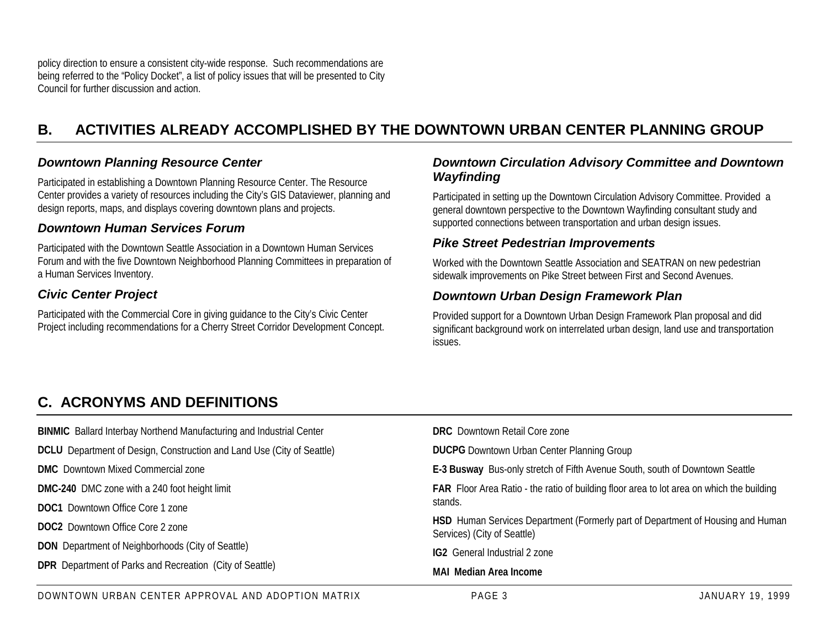policy direction to ensure a consistent city-wide response. Such recommendations are being referred to the "Policy Docket", a list of policy issues that will be presented to City Council for further discussion and action.

# **B. ACTIVITIES ALREADY ACCOMPLISHED BY THE DOWNTOWN URBAN CENTER PLANNING GROUP**

#### *Downtown Planning Resource Center*

Participated in establishing a Downtown Planning Resource Center. The Resource Center provides a variety of resources including the City's GIS Dataviewer, planning and design reports, maps, and displays covering downtown plans and projects.

#### *Downtown Human Services Forum*

Participated with the Downtown Seattle Association in a Downtown Human Services Forum and with the five Downtown Neighborhood Planning Committees in preparation of a Human Services Inventory.

#### *Civic Center Project*

Participated with the Commercial Core in giving guidance to the City's Civic Center Project including recommendations for a Cherry Street Corridor Development Concept.

#### *Downtown Circulation Advisory Committee and Downtown Wayfinding*

Participated in setting up the Downtown Circulation Advisory Committee. Provided a general downtown perspective to the Downtown Wayfinding consultant study and supported connections between transportation and urban design issues.

#### *Pike Street Pedestrian Improvements*

Worked with the Downtown Seattle Association and SEATRAN on new pedestrian sidewalk improvements on Pike Street between First and Second Avenues.

#### *Downtown Urban Design Framework Plan*

Provided support for a Downtown Urban Design Framework Plan proposal and did significant background work on interrelated urban design, land use and transportation issues.

# **C. ACRONYMS AND DEFINITIONS**

| <b>BINMIC</b> Ballard Interbay Northend Manufacturing and Industrial Center   | <b>DRC</b> Downtown Retail Core zone                                                                           |
|-------------------------------------------------------------------------------|----------------------------------------------------------------------------------------------------------------|
| <b>DCLU</b> Department of Design, Construction and Land Use (City of Seattle) | <b>DUCPG</b> Downtown Urban Center Planning Group                                                              |
| <b>DMC</b> Downtown Mixed Commercial zone                                     | E-3 Busway Bus-only stretch of Fifth Avenue South, south of Downtown Seattle                                   |
| <b>DMC-240</b> DMC zone with a 240 foot height limit                          | FAR Floor Area Ratio - the ratio of building floor area to lot area on which the building                      |
| <b>DOC1</b> Downtown Office Core 1 zone                                       | stands.                                                                                                        |
| <b>DOC2</b> Downtown Office Core 2 zone                                       | HSD Human Services Department (Formerly part of Department of Housing and Human<br>Services) (City of Seattle) |
| <b>DON</b> Department of Neighborhoods (City of Seattle)                      | <b>IG2</b> General Industrial 2 zone                                                                           |
| <b>DPR</b> Department of Parks and Recreation (City of Seattle)               | <b>MAI Median Area Income</b>                                                                                  |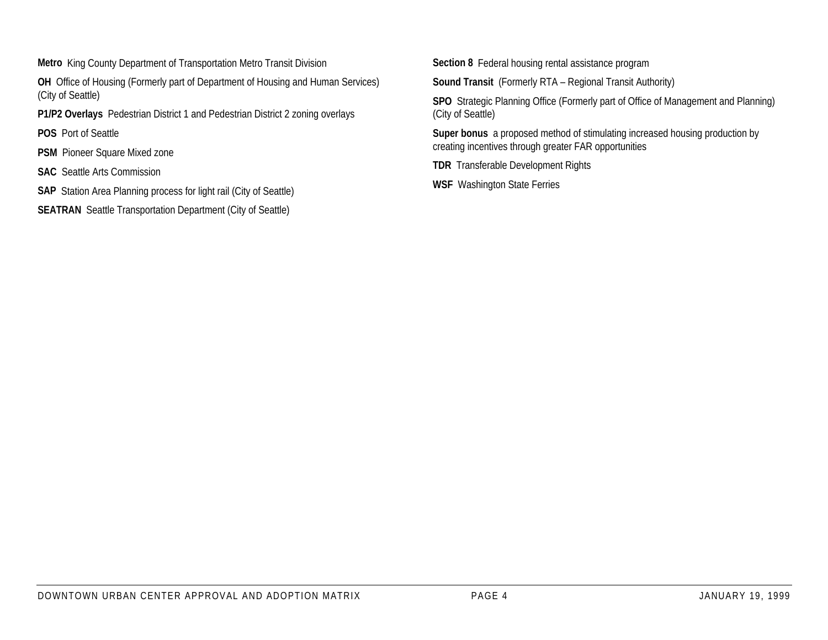**Metro** King County Department of Transportation Metro Transit Division

**OH** Office of Housing (Formerly part of Department of Housing and Human Services) (City of Seattle)

**P1/P2 Overlays** Pedestrian District 1 and Pedestrian District 2 zoning overlays

**POS** Port of Seattle

**PSM** Pioneer Square Mixed zone

**SAC** Seattle Arts Commission

**SAP** Station Area Planning process for light rail (City of Seattle)

**SEATRAN** Seattle Transportation Department (City of Seattle)

**Section 8** Federal housing rental assistance program

**Sound Transit** (Formerly RTA – Regional Transit Authority)

**SPO** Strategic Planning Office (Formerly part of Office of Management and Planning) (City of Seattle)

**Super bonus** a proposed method of stimulating increased housing production by creating incentives through greater FAR opportunities

**TDR** Transferable Development Rights

**WSF** Washington State Ferries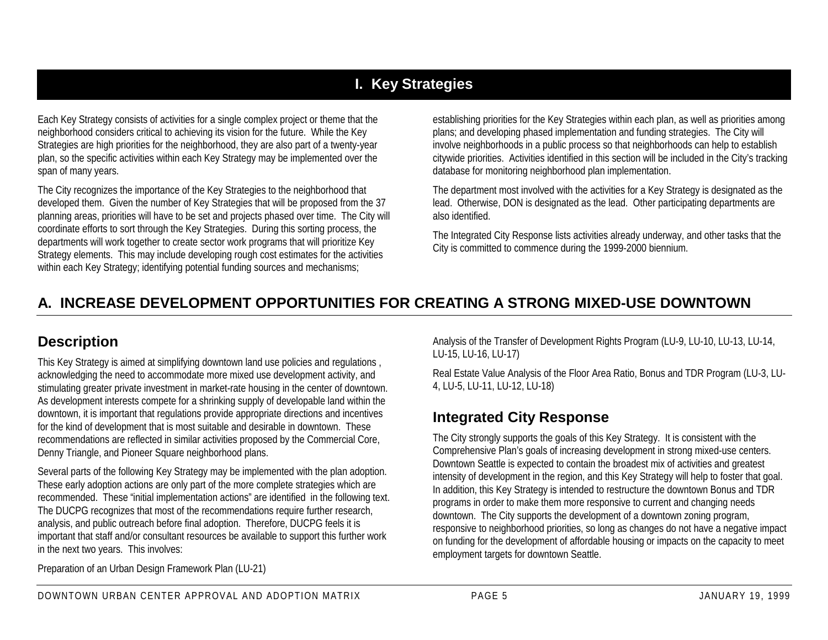# **I. Key Strategies**

Each Key Strategy consists of activities for a single complex project or theme that the neighborhood considers critical to achieving its vision for the future. While the Key Strategies are high priorities for the neighborhood, they are also part of a twenty-year plan, so the specific activities within each Key Strategy may be implemented over the span of many years.

The City recognizes the importance of the Key Strategies to the neighborhood that developed them. Given the number of Key Strategies that will be proposed from the 37 planning areas, priorities will have to be set and projects phased over time. The City will coordinate efforts to sort through the Key Strategies. During this sorting process, the departments will work together to create sector work programs that will prioritize Key Strategy elements. This may include developing rough cost estimates for the activities within each Key Strategy; identifying potential funding sources and mechanisms;

establishing priorities for the Key Strategies within each plan, as well as priorities among plans; and developing phased implementation and funding strategies. The City will involve neighborhoods in a public process so that neighborhoods can help to establish citywide priorities. Activities identified in this section will be included in the City's tracking database for monitoring neighborhood plan implementation.

The department most involved with the activities for a Key Strategy is designated as the lead. Otherwise, DON is designated as the lead. Other participating departments are also identified.

The Integrated City Response lists activities already underway, and other tasks that the City is committed to commence during the 1999-2000 biennium.

# **A. INCREASE DEVELOPMENT OPPORTUNITIES FOR CREATING A STRONG MIXED-USE DOWNTOWN**

## **Description**

This Key Strategy is aimed at simplifying downtown land use policies and regulations , acknowledging the need to accommodate more mixed use development activity, and stimulating greater private investment in market-rate housing in the center of downtown. As development interests compete for a shrinking supply of developable land within the downtown, it is important that regulations provide appropriate directions and incentives for the kind of development that is most suitable and desirable in downtown. These recommendations are reflected in similar activities proposed by the Commercial Core, Denny Triangle, and Pioneer Square neighborhood plans.

Several parts of the following Key Strategy may be implemented with the plan adoption. These early adoption actions are only part of the more complete strategies which are recommended. These "initial implementation actions" are identified in the following text. The DUCPG recognizes that most of the recommendations require further research, analysis, and public outreach before final adoption. Therefore, DUCPG feels it is important that staff and/or consultant resources be available to support this further work in the next two years. This involves:

Analysis of the Transfer of Development Rights Program (LU-9, LU-10, LU-13, LU-14, LU-15, LU-16, LU-17)

Real Estate Value Analysis of the Floor Area Ratio, Bonus and TDR Program (LU-3, LU-4, LU-5, LU-11, LU-12, LU-18)

## **Integrated City Response**

The City strongly supports the goals of this Key Strategy. It is consistent with the Comprehensive Plan's goals of increasing development in strong mixed-use centers. Downtown Seattle is expected to contain the broadest mix of activities and greatest intensity of development in the region, and this Key Strategy will help to foster that goal. In addition, this Key Strategy is intended to restructure the downtown Bonus and TDR programs in order to make them more responsive to current and changing needs downtown. The City supports the development of a downtown zoning program, responsive to neighborhood priorities, so long as changes do not have a negative impact on funding for the development of affordable housing or impacts on the capacity to meet employment targets for downtown Seattle.

Preparation of an Urban Design Framework Plan (LU-21)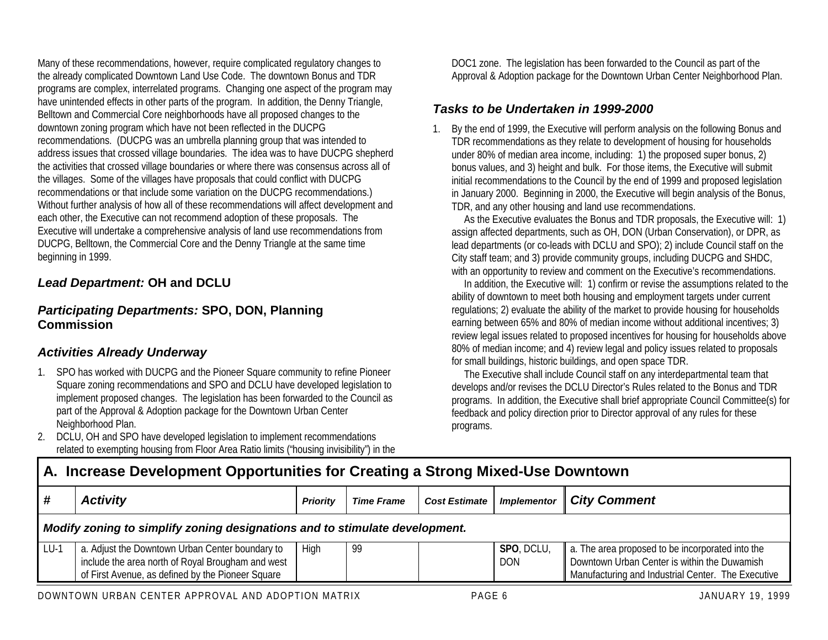Many of these recommendations, however, require complicated regulatory changes to the already complicated Downtown Land Use Code. The downtown Bonus and TDR programs are complex, interrelated programs. Changing one aspect of the program may have unintended effects in other parts of the program. In addition, the Denny Triangle, Belltown and Commercial Core neighborhoods have all proposed changes to the downtown zoning program which have not been reflected in the DUCPG recommendations. (DUCPG was an umbrella planning group that was intended to address issues that crossed village boundaries. The idea was to have DUCPG shepherd the activities that crossed village boundaries or where there was consensus across all of the villages. Some of the villages have proposals that could conflict with DUCPG recommendations or that include some variation on the DUCPG recommendations.) Without further analysis of how all of these recommendations will affect development and each other, the Executive can not recommend adoption of these proposals. The Executive will undertake a comprehensive analysis of land use recommendations from DUCPG, Belltown, the Commercial Core and the Denny Triangle at the same time beginning in 1999.

## *Lead Department:* **OH and DCLU**

#### *Participating Departments:* **SPO, DON, Planning Commission**

#### *Activities Already Underway*

- 1. SPO has worked with DUCPG and the Pioneer Square community to refine Pioneer Square zoning recommendations and SPO and DCLU have developed legislation to implement proposed changes. The legislation has been forwarded to the Council as part of the Approval & Adoption package for the Downtown Urban Center Neighborhood Plan.
- 2. DCLU, OH and SPO have developed legislation to implement recommendations related to exempting housing from Floor Area Ratio limits ("housing invisibility") in the

DOC1 zone. The legislation has been forwarded to the Council as part of the Approval & Adoption package for the Downtown Urban Center Neighborhood Plan.

## *Tasks to be Undertaken in 1999-2000*

1. By the end of 1999, the Executive will perform analysis on the following Bonus and TDR recommendations as they relate to development of housing for households under 80% of median area income, including: 1) the proposed super bonus, 2) bonus values, and 3) height and bulk. For those items, the Executive will submit initial recommendations to the Council by the end of 1999 and proposed legislation in January 2000. Beginning in 2000, the Executive will begin analysis of the Bonus, TDR, and any other housing and land use recommendations.

 As the Executive evaluates the Bonus and TDR proposals, the Executive will: 1) assign affected departments, such as OH, DON (Urban Conservation), or DPR, as lead departments (or co-leads with DCLU and SPO); 2) include Council staff on the City staff team; and 3) provide community groups, including DUCPG and SHDC, with an opportunity to review and comment on the Executive's recommendations.

 In addition, the Executive will: 1) confirm or revise the assumptions related to the ability of downtown to meet both housing and employment targets under current regulations; 2) evaluate the ability of the market to provide housing for households earning between 65% and 80% of median income without additional incentives; 3) review legal issues related to proposed incentives for housing for households above 80% of median income; and 4) review legal and policy issues related to proposals for small buildings, historic buildings, and open space TDR.

 The Executive shall include Council staff on any interdepartmental team that develops and/or revises the DCLU Director's Rules related to the Bonus and TDR programs. In addition, the Executive shall brief appropriate Council Committee(s) for feedback and policy direction prior to Director approval of any rules for these programs.

|        | <b>Activity</b>                                                                                                                                           | <b>Priority</b> | <b>Time Frame</b> | Cost Estimate   Implementor |                          | <b>City Comment</b>                                                                                                                                    |  |  |
|--------|-----------------------------------------------------------------------------------------------------------------------------------------------------------|-----------------|-------------------|-----------------------------|--------------------------|--------------------------------------------------------------------------------------------------------------------------------------------------------|--|--|
|        | Modify zoning to simplify zoning designations and to stimulate development.                                                                               |                 |                   |                             |                          |                                                                                                                                                        |  |  |
| $LU-1$ | a. Adjust the Downtown Urban Center boundary to<br>include the area north of Royal Brougham and west<br>of First Avenue, as defined by the Pioneer Square | High            | 99                |                             | SPO, DCLU,<br><b>DON</b> | a. The area proposed to be incorporated into the<br>Downtown Urban Center is within the Duwamish<br>Manufacturing and Industrial Center. The Executive |  |  |

**A. Increase Development Opportunities for Creating a Strong Mixed-Use Downtown**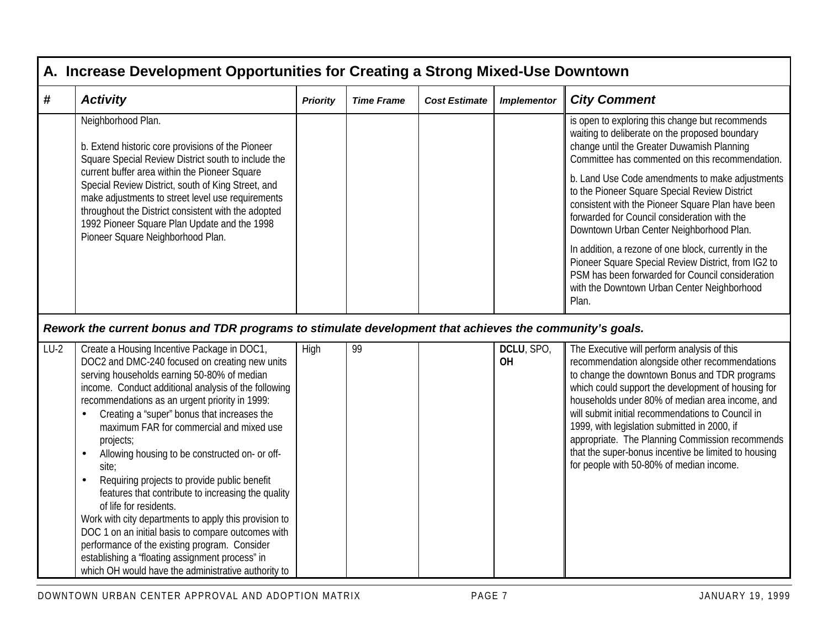|        | A. Increase Development Opportunities for Creating a Strong Mixed-Use Downtown                                                                                                                                                                                                                                                                                                                                                                                                                                                                                                                                                                                                                                                                                                                                                                                |                 |                   |                      |                    |                                                                                                                                                                                                                                                                                                                                                                                                                                                                                                                     |  |  |  |
|--------|---------------------------------------------------------------------------------------------------------------------------------------------------------------------------------------------------------------------------------------------------------------------------------------------------------------------------------------------------------------------------------------------------------------------------------------------------------------------------------------------------------------------------------------------------------------------------------------------------------------------------------------------------------------------------------------------------------------------------------------------------------------------------------------------------------------------------------------------------------------|-----------------|-------------------|----------------------|--------------------|---------------------------------------------------------------------------------------------------------------------------------------------------------------------------------------------------------------------------------------------------------------------------------------------------------------------------------------------------------------------------------------------------------------------------------------------------------------------------------------------------------------------|--|--|--|
| #      | <b>Activity</b>                                                                                                                                                                                                                                                                                                                                                                                                                                                                                                                                                                                                                                                                                                                                                                                                                                               | <b>Priority</b> | <b>Time Frame</b> | <b>Cost Estimate</b> | <b>Implementor</b> | <b>City Comment</b>                                                                                                                                                                                                                                                                                                                                                                                                                                                                                                 |  |  |  |
|        | Neighborhood Plan.<br>b. Extend historic core provisions of the Pioneer<br>Square Special Review District south to include the                                                                                                                                                                                                                                                                                                                                                                                                                                                                                                                                                                                                                                                                                                                                |                 |                   |                      |                    | is open to exploring this change but recommends<br>waiting to deliberate on the proposed boundary<br>change until the Greater Duwamish Planning<br>Committee has commented on this recommendation.                                                                                                                                                                                                                                                                                                                  |  |  |  |
|        | current buffer area within the Pioneer Square<br>Special Review District, south of King Street, and<br>make adjustments to street level use requirements<br>throughout the District consistent with the adopted<br>1992 Pioneer Square Plan Update and the 1998<br>Pioneer Square Neighborhood Plan.                                                                                                                                                                                                                                                                                                                                                                                                                                                                                                                                                          |                 |                   |                      |                    | b. Land Use Code amendments to make adjustments<br>to the Pioneer Square Special Review District<br>consistent with the Pioneer Square Plan have been<br>forwarded for Council consideration with the<br>Downtown Urban Center Neighborhood Plan.                                                                                                                                                                                                                                                                   |  |  |  |
|        |                                                                                                                                                                                                                                                                                                                                                                                                                                                                                                                                                                                                                                                                                                                                                                                                                                                               |                 |                   |                      |                    | In addition, a rezone of one block, currently in the<br>Pioneer Square Special Review District, from IG2 to<br>PSM has been forwarded for Council consideration<br>with the Downtown Urban Center Neighborhood<br>Plan.                                                                                                                                                                                                                                                                                             |  |  |  |
|        | Rework the current bonus and TDR programs to stimulate development that achieves the community's goals.                                                                                                                                                                                                                                                                                                                                                                                                                                                                                                                                                                                                                                                                                                                                                       |                 |                   |                      |                    |                                                                                                                                                                                                                                                                                                                                                                                                                                                                                                                     |  |  |  |
| $LU-2$ | Create a Housing Incentive Package in DOC1,<br>DOC2 and DMC-240 focused on creating new units<br>serving households earning 50-80% of median<br>income. Conduct additional analysis of the following<br>recommendations as an urgent priority in 1999:<br>Creating a "super" bonus that increases the<br>maximum FAR for commercial and mixed use<br>projects;<br>Allowing housing to be constructed on- or off-<br>$\bullet$<br>site:<br>Requiring projects to provide public benefit<br>$\bullet$<br>features that contribute to increasing the quality<br>of life for residents.<br>Work with city departments to apply this provision to<br>DOC 1 on an initial basis to compare outcomes with<br>performance of the existing program. Consider<br>establishing a "floating assignment process" in<br>which OH would have the administrative authority to | High            | 99                |                      | DCLU, SPO,<br>OH   | The Executive will perform analysis of this<br>recommendation alongside other recommendations<br>to change the downtown Bonus and TDR programs<br>which could support the development of housing for<br>households under 80% of median area income, and<br>will submit initial recommendations to Council in<br>1999, with legislation submitted in 2000, if<br>appropriate. The Planning Commission recommends<br>that the super-bonus incentive be limited to housing<br>for people with 50-80% of median income. |  |  |  |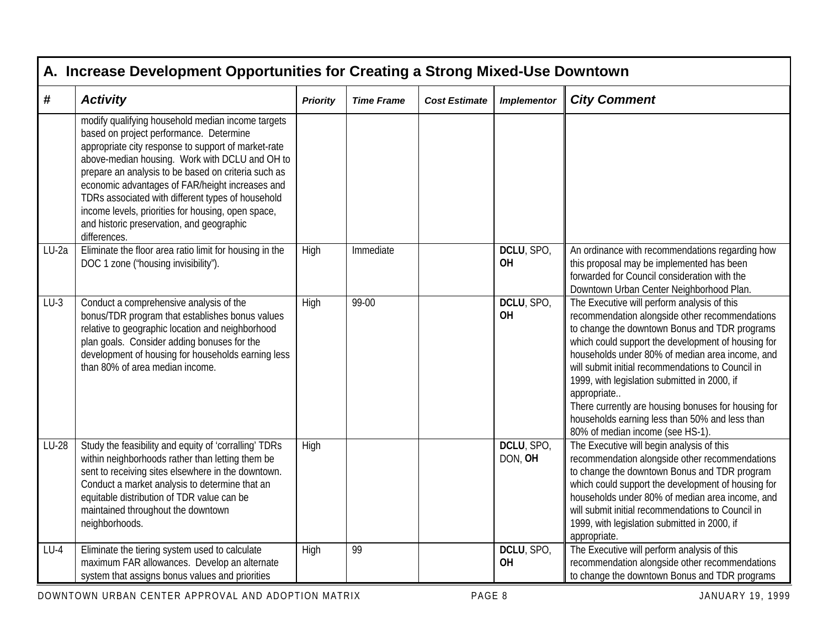|                   | A. Increase Development Opportunities for Creating a Strong Mixed-Use Downtown                                                                                                                                                                                                                                                                                                                                                                                                          |                 |                   |                      |                       |                                                                                                                                                                                                                                                                                                                                                                                                                                                                                                                          |  |  |
|-------------------|-----------------------------------------------------------------------------------------------------------------------------------------------------------------------------------------------------------------------------------------------------------------------------------------------------------------------------------------------------------------------------------------------------------------------------------------------------------------------------------------|-----------------|-------------------|----------------------|-----------------------|--------------------------------------------------------------------------------------------------------------------------------------------------------------------------------------------------------------------------------------------------------------------------------------------------------------------------------------------------------------------------------------------------------------------------------------------------------------------------------------------------------------------------|--|--|
| $\boldsymbol{\#}$ | <b>Activity</b>                                                                                                                                                                                                                                                                                                                                                                                                                                                                         | <b>Priority</b> | <b>Time Frame</b> | <b>Cost Estimate</b> | <b>Implementor</b>    | <b>City Comment</b>                                                                                                                                                                                                                                                                                                                                                                                                                                                                                                      |  |  |
|                   | modify qualifying household median income targets<br>based on project performance. Determine<br>appropriate city response to support of market-rate<br>above-median housing. Work with DCLU and OH to<br>prepare an analysis to be based on criteria such as<br>economic advantages of FAR/height increases and<br>TDRs associated with different types of household<br>income levels, priorities for housing, open space,<br>and historic preservation, and geographic<br>differences. |                 |                   |                      |                       |                                                                                                                                                                                                                                                                                                                                                                                                                                                                                                                          |  |  |
| LU-2a             | Eliminate the floor area ratio limit for housing in the<br>DOC 1 zone ("housing invisibility").                                                                                                                                                                                                                                                                                                                                                                                         | High            | Immediate         |                      | DCLU, SPO,<br>OH      | An ordinance with recommendations regarding how<br>this proposal may be implemented has been<br>forwarded for Council consideration with the<br>Downtown Urban Center Neighborhood Plan.                                                                                                                                                                                                                                                                                                                                 |  |  |
| $LU-3$            | Conduct a comprehensive analysis of the<br>bonus/TDR program that establishes bonus values<br>relative to geographic location and neighborhood<br>plan goals. Consider adding bonuses for the<br>development of housing for households earning less<br>than 80% of area median income.                                                                                                                                                                                                  | High            | 99-00             |                      | DCLU, SPO,<br>OH      | The Executive will perform analysis of this<br>recommendation alongside other recommendations<br>to change the downtown Bonus and TDR programs<br>which could support the development of housing for<br>households under 80% of median area income, and<br>will submit initial recommendations to Council in<br>1999, with legislation submitted in 2000, if<br>appropriate<br>There currently are housing bonuses for housing for<br>households earning less than 50% and less than<br>80% of median income (see HS-1). |  |  |
| LU-28             | Study the feasibility and equity of 'corralling' TDRs<br>within neighborhoods rather than letting them be<br>sent to receiving sites elsewhere in the downtown.<br>Conduct a market analysis to determine that an<br>equitable distribution of TDR value can be<br>maintained throughout the downtown<br>neighborhoods.                                                                                                                                                                 | High            |                   |                      | DCLU, SPO,<br>DON, OH | The Executive will begin analysis of this<br>recommendation alongside other recommendations<br>to change the downtown Bonus and TDR program<br>which could support the development of housing for<br>households under 80% of median area income, and<br>will submit initial recommendations to Council in<br>1999, with legislation submitted in 2000, if<br>appropriate.                                                                                                                                                |  |  |
| $LU-4$            | Eliminate the tiering system used to calculate<br>maximum FAR allowances. Develop an alternate<br>system that assigns bonus values and priorities                                                                                                                                                                                                                                                                                                                                       | High            | 99                |                      | DCLU, SPO,<br>OH      | The Executive will perform analysis of this<br>recommendation alongside other recommendations<br>to change the downtown Bonus and TDR programs                                                                                                                                                                                                                                                                                                                                                                           |  |  |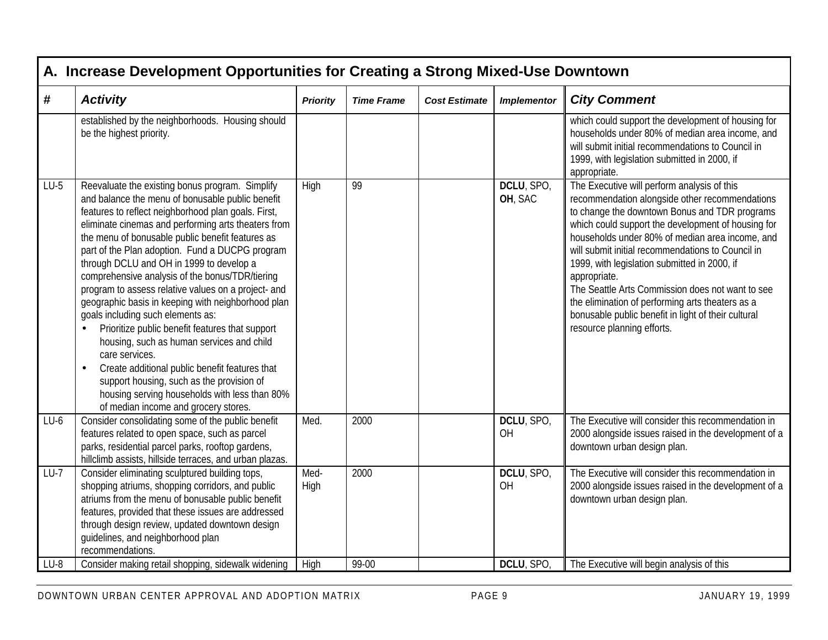|        | A. Increase Development Opportunities for Creating a Strong Mixed-Use Downtown                                                                                                                                                                                                                                                                                                                                                                                                                                                                                                                                                                                                                                                                                                                                                                                                                   |                 |                   |                      |                       |                                                                                                                                                                                                                                                                                                                                                                                                                                                                                                                                                                           |  |  |  |
|--------|--------------------------------------------------------------------------------------------------------------------------------------------------------------------------------------------------------------------------------------------------------------------------------------------------------------------------------------------------------------------------------------------------------------------------------------------------------------------------------------------------------------------------------------------------------------------------------------------------------------------------------------------------------------------------------------------------------------------------------------------------------------------------------------------------------------------------------------------------------------------------------------------------|-----------------|-------------------|----------------------|-----------------------|---------------------------------------------------------------------------------------------------------------------------------------------------------------------------------------------------------------------------------------------------------------------------------------------------------------------------------------------------------------------------------------------------------------------------------------------------------------------------------------------------------------------------------------------------------------------------|--|--|--|
| #      | <b>Activity</b>                                                                                                                                                                                                                                                                                                                                                                                                                                                                                                                                                                                                                                                                                                                                                                                                                                                                                  | <b>Priority</b> | <b>Time Frame</b> | <b>Cost Estimate</b> | <b>Implementor</b>    | <b>City Comment</b>                                                                                                                                                                                                                                                                                                                                                                                                                                                                                                                                                       |  |  |  |
|        | established by the neighborhoods. Housing should<br>be the highest priority.                                                                                                                                                                                                                                                                                                                                                                                                                                                                                                                                                                                                                                                                                                                                                                                                                     |                 |                   |                      |                       | which could support the development of housing for<br>households under 80% of median area income, and<br>will submit initial recommendations to Council in<br>1999, with legislation submitted in 2000, if<br>appropriate.                                                                                                                                                                                                                                                                                                                                                |  |  |  |
| $LU-5$ | Reevaluate the existing bonus program. Simplify<br>and balance the menu of bonusable public benefit<br>features to reflect neighborhood plan goals. First,<br>eliminate cinemas and performing arts theaters from<br>the menu of bonusable public benefit features as<br>part of the Plan adoption. Fund a DUCPG program<br>through DCLU and OH in 1999 to develop a<br>comprehensive analysis of the bonus/TDR/tiering<br>program to assess relative values on a project- and<br>geographic basis in keeping with neighborhood plan<br>goals including such elements as:<br>Prioritize public benefit features that support<br>housing, such as human services and child<br>care services.<br>Create additional public benefit features that<br>$\bullet$<br>support housing, such as the provision of<br>housing serving households with less than 80%<br>of median income and grocery stores. | High            | 99                |                      | DCLU, SPO,<br>OH, SAC | The Executive will perform analysis of this<br>recommendation alongside other recommendations<br>to change the downtown Bonus and TDR programs<br>which could support the development of housing for<br>households under 80% of median area income, and<br>will submit initial recommendations to Council in<br>1999, with legislation submitted in 2000, if<br>appropriate.<br>The Seattle Arts Commission does not want to see<br>the elimination of performing arts theaters as a<br>bonusable public benefit in light of their cultural<br>resource planning efforts. |  |  |  |
| $LU-6$ | Consider consolidating some of the public benefit<br>features related to open space, such as parcel<br>parks, residential parcel parks, rooftop gardens,<br>hillclimb assists, hillside terraces, and urban plazas.                                                                                                                                                                                                                                                                                                                                                                                                                                                                                                                                                                                                                                                                              | Med.            | 2000              |                      | DCLU, SPO,<br>OH      | The Executive will consider this recommendation in<br>2000 alongside issues raised in the development of a<br>downtown urban design plan.                                                                                                                                                                                                                                                                                                                                                                                                                                 |  |  |  |
| $LU-7$ | Consider eliminating sculptured building tops,<br>shopping atriums, shopping corridors, and public<br>atriums from the menu of bonusable public benefit<br>features, provided that these issues are addressed<br>through design review, updated downtown design<br>guidelines, and neighborhood plan<br>recommendations.                                                                                                                                                                                                                                                                                                                                                                                                                                                                                                                                                                         | Med-<br>High    | 2000              |                      | DCLU, SPO,<br>OH      | The Executive will consider this recommendation in<br>2000 alongside issues raised in the development of a<br>downtown urban design plan.                                                                                                                                                                                                                                                                                                                                                                                                                                 |  |  |  |
| $LU-8$ | Consider making retail shopping, sidewalk widening                                                                                                                                                                                                                                                                                                                                                                                                                                                                                                                                                                                                                                                                                                                                                                                                                                               | High            | 99-00             |                      | DCLU, SPO,            | The Executive will begin analysis of this                                                                                                                                                                                                                                                                                                                                                                                                                                                                                                                                 |  |  |  |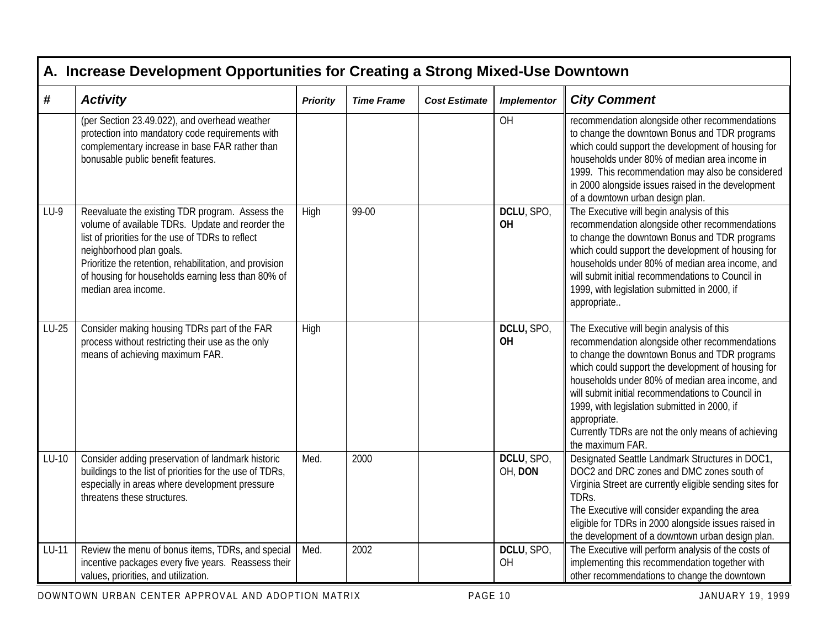|         | A. Increase Development Opportunities for Creating a Strong Mixed-Use Downtown                                                                                                                                                                                                                                               |                 |                   |                      |                         |                                                                                                                                                                                                                                                                                                                                                                                                                                                      |  |  |  |
|---------|------------------------------------------------------------------------------------------------------------------------------------------------------------------------------------------------------------------------------------------------------------------------------------------------------------------------------|-----------------|-------------------|----------------------|-------------------------|------------------------------------------------------------------------------------------------------------------------------------------------------------------------------------------------------------------------------------------------------------------------------------------------------------------------------------------------------------------------------------------------------------------------------------------------------|--|--|--|
| #       | <b>Activity</b>                                                                                                                                                                                                                                                                                                              | <b>Priority</b> | <b>Time Frame</b> | <b>Cost Estimate</b> | <b>Implementor</b>      | <b>City Comment</b>                                                                                                                                                                                                                                                                                                                                                                                                                                  |  |  |  |
|         | (per Section 23.49.022), and overhead weather<br>protection into mandatory code requirements with<br>complementary increase in base FAR rather than<br>bonusable public benefit features.                                                                                                                                    |                 |                   |                      | $\overline{OH}$         | recommendation alongside other recommendations<br>to change the downtown Bonus and TDR programs<br>which could support the development of housing for<br>households under 80% of median area income in<br>1999. This recommendation may also be considered<br>in 2000 alongside issues raised in the development<br>of a downtown urban design plan.                                                                                                 |  |  |  |
| $LU-9$  | Reevaluate the existing TDR program. Assess the<br>volume of available TDRs. Update and reorder the<br>list of priorities for the use of TDRs to reflect<br>neighborhood plan goals.<br>Prioritize the retention, rehabilitation, and provision<br>of housing for households earning less than 80% of<br>median area income. | High            | 99-00             |                      | DCLU, SPO,<br><b>OH</b> | The Executive will begin analysis of this<br>recommendation alongside other recommendations<br>to change the downtown Bonus and TDR programs<br>which could support the development of housing for<br>households under 80% of median area income, and<br>will submit initial recommendations to Council in<br>1999, with legislation submitted in 2000, if<br>appropriate                                                                            |  |  |  |
| $LU-25$ | Consider making housing TDRs part of the FAR<br>process without restricting their use as the only<br>means of achieving maximum FAR.                                                                                                                                                                                         | High            |                   |                      | DCLU, SPO,<br>OH        | The Executive will begin analysis of this<br>recommendation alongside other recommendations<br>to change the downtown Bonus and TDR programs<br>which could support the development of housing for<br>households under 80% of median area income, and<br>will submit initial recommendations to Council in<br>1999, with legislation submitted in 2000, if<br>appropriate.<br>Currently TDRs are not the only means of achieving<br>the maximum FAR. |  |  |  |
| LU-10   | Consider adding preservation of landmark historic<br>buildings to the list of priorities for the use of TDRs,<br>especially in areas where development pressure<br>threatens these structures.                                                                                                                               | Med.            | 2000              |                      | DCLU, SPO,<br>OH, DON   | Designated Seattle Landmark Structures in DOC1,<br>DOC2 and DRC zones and DMC zones south of<br>Virginia Street are currently eligible sending sites for<br>TDRs.<br>The Executive will consider expanding the area<br>eligible for TDRs in 2000 alongside issues raised in<br>the development of a downtown urban design plan.                                                                                                                      |  |  |  |
| LU-11   | Review the menu of bonus items, TDRs, and special<br>incentive packages every five years. Reassess their<br>values, priorities, and utilization.                                                                                                                                                                             | Med.            | 2002              |                      | DCLU, SPO,<br>OH        | The Executive will perform analysis of the costs of<br>implementing this recommendation together with<br>other recommendations to change the downtown                                                                                                                                                                                                                                                                                                |  |  |  |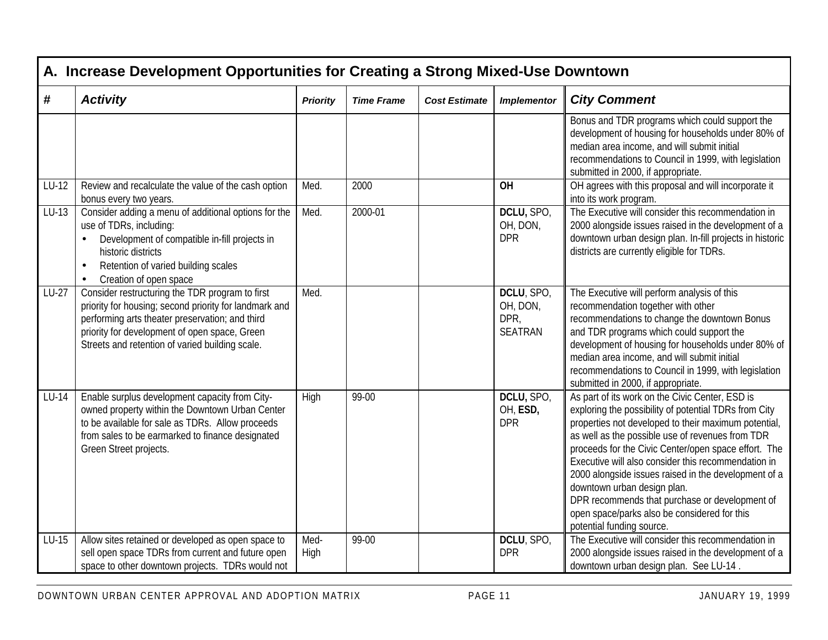| #       | <b>Activity</b>                                                                                                                                                                                                                                                  | <b>Priority</b> | <b>Time Frame</b> | <b>Cost Estimate</b> | <b>Implementor</b>                               | <b>City Comment</b>                                                                                                                                                                                                                                                                                                                                                                                                                                                                                                                                       |
|---------|------------------------------------------------------------------------------------------------------------------------------------------------------------------------------------------------------------------------------------------------------------------|-----------------|-------------------|----------------------|--------------------------------------------------|-----------------------------------------------------------------------------------------------------------------------------------------------------------------------------------------------------------------------------------------------------------------------------------------------------------------------------------------------------------------------------------------------------------------------------------------------------------------------------------------------------------------------------------------------------------|
|         |                                                                                                                                                                                                                                                                  |                 |                   |                      |                                                  | Bonus and TDR programs which could support the<br>development of housing for households under 80% of<br>median area income, and will submit initial<br>recommendations to Council in 1999, with legislation<br>submitted in 2000, if appropriate.                                                                                                                                                                                                                                                                                                         |
| LU-12   | Review and recalculate the value of the cash option<br>bonus every two years.                                                                                                                                                                                    | Med.            | 2000              |                      | OH                                               | OH agrees with this proposal and will incorporate it<br>into its work program.                                                                                                                                                                                                                                                                                                                                                                                                                                                                            |
| LU-13   | Consider adding a menu of additional options for the<br>use of TDRs, including:<br>Development of compatible in-fill projects in<br>historic districts<br>Retention of varied building scales<br>$\bullet$<br>Creation of open space                             | Med.            | 2000-01           |                      | DCLU, SPO,<br>OH, DON,<br><b>DPR</b>             | The Executive will consider this recommendation in<br>2000 alongside issues raised in the development of a<br>downtown urban design plan. In-fill projects in historic<br>districts are currently eligible for TDRs.                                                                                                                                                                                                                                                                                                                                      |
| LU-27   | Consider restructuring the TDR program to first<br>priority for housing; second priority for landmark and<br>performing arts theater preservation; and third<br>priority for development of open space, Green<br>Streets and retention of varied building scale. | Med.            |                   |                      | DCLU, SPO,<br>OH, DON,<br>DPR,<br><b>SEATRAN</b> | The Executive will perform analysis of this<br>recommendation together with other<br>recommendations to change the downtown Bonus<br>and TDR programs which could support the<br>development of housing for households under 80% of<br>median area income, and will submit initial<br>recommendations to Council in 1999, with legislation<br>submitted in 2000, if appropriate.                                                                                                                                                                          |
| LU-14   | Enable surplus development capacity from City-<br>owned property within the Downtown Urban Center<br>to be available for sale as TDRs. Allow proceeds<br>from sales to be earmarked to finance designated<br>Green Street projects.                              | High            | 99-00             |                      | DCLU, SPO,<br>OH, ESD,<br><b>DPR</b>             | As part of its work on the Civic Center, ESD is<br>exploring the possibility of potential TDRs from City<br>properties not developed to their maximum potential,<br>as well as the possible use of revenues from TDR<br>proceeds for the Civic Center/open space effort. The<br>Executive will also consider this recommendation in<br>2000 alongside issues raised in the development of a<br>downtown urban design plan.<br>DPR recommends that purchase or development of<br>open space/parks also be considered for this<br>potential funding source. |
| $LU-15$ | Allow sites retained or developed as open space to<br>sell open space TDRs from current and future open<br>space to other downtown projects. TDRs would not                                                                                                      | Med-<br>High    | 99-00             |                      | DCLU, SPO,<br><b>DPR</b>                         | The Executive will consider this recommendation in<br>2000 alongside issues raised in the development of a<br>downtown urban design plan. See LU-14.                                                                                                                                                                                                                                                                                                                                                                                                      |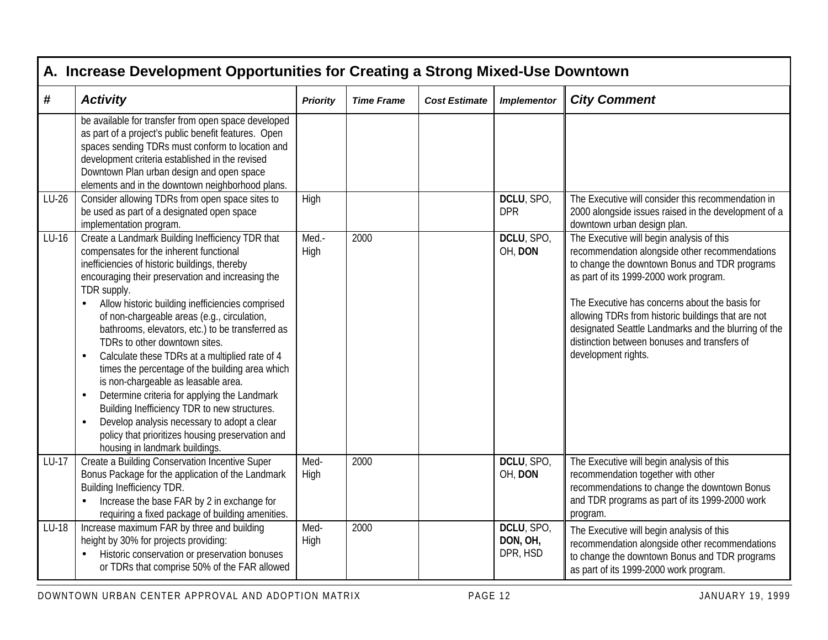|         | A. Increase Development Opportunities for Creating a Strong Mixed-Use Downtown                                                                                                                                                                                                                                                                                                                                                                                                                                                                                                                                                                                                                                                                                                                                                   |                 |                   |                      |                                    |                                                                                                                                                                                                                                                                                                                                                                                                                               |  |  |
|---------|----------------------------------------------------------------------------------------------------------------------------------------------------------------------------------------------------------------------------------------------------------------------------------------------------------------------------------------------------------------------------------------------------------------------------------------------------------------------------------------------------------------------------------------------------------------------------------------------------------------------------------------------------------------------------------------------------------------------------------------------------------------------------------------------------------------------------------|-----------------|-------------------|----------------------|------------------------------------|-------------------------------------------------------------------------------------------------------------------------------------------------------------------------------------------------------------------------------------------------------------------------------------------------------------------------------------------------------------------------------------------------------------------------------|--|--|
| #       | <b>Activity</b>                                                                                                                                                                                                                                                                                                                                                                                                                                                                                                                                                                                                                                                                                                                                                                                                                  | <b>Priority</b> | <b>Time Frame</b> | <b>Cost Estimate</b> | <b>Implementor</b>                 | <b>City Comment</b>                                                                                                                                                                                                                                                                                                                                                                                                           |  |  |
|         | be available for transfer from open space developed<br>as part of a project's public benefit features. Open<br>spaces sending TDRs must conform to location and<br>development criteria established in the revised<br>Downtown Plan urban design and open space<br>elements and in the downtown neighborhood plans.                                                                                                                                                                                                                                                                                                                                                                                                                                                                                                              |                 |                   |                      |                                    |                                                                                                                                                                                                                                                                                                                                                                                                                               |  |  |
| $LU-26$ | Consider allowing TDRs from open space sites to<br>be used as part of a designated open space<br>implementation program.                                                                                                                                                                                                                                                                                                                                                                                                                                                                                                                                                                                                                                                                                                         | High            |                   |                      | DCLU, SPO,<br><b>DPR</b>           | The Executive will consider this recommendation in<br>2000 alongside issues raised in the development of a<br>downtown urban design plan.                                                                                                                                                                                                                                                                                     |  |  |
| LU-16   | Create a Landmark Building Inefficiency TDR that<br>compensates for the inherent functional<br>inefficiencies of historic buildings, thereby<br>encouraging their preservation and increasing the<br>TDR supply.<br>Allow historic building inefficiencies comprised<br>of non-chargeable areas (e.g., circulation,<br>bathrooms, elevators, etc.) to be transferred as<br>TDRs to other downtown sites.<br>Calculate these TDRs at a multiplied rate of 4<br>$\bullet$<br>times the percentage of the building area which<br>is non-chargeable as leasable area.<br>Determine criteria for applying the Landmark<br>$\bullet$<br>Building Inefficiency TDR to new structures.<br>Develop analysis necessary to adopt a clear<br>$\bullet$<br>policy that prioritizes housing preservation and<br>housing in landmark buildings. | Med.-<br>High   | 2000              |                      | DCLU, SPO,<br>OH, DON              | The Executive will begin analysis of this<br>recommendation alongside other recommendations<br>to change the downtown Bonus and TDR programs<br>as part of its 1999-2000 work program.<br>The Executive has concerns about the basis for<br>allowing TDRs from historic buildings that are not<br>designated Seattle Landmarks and the blurring of the<br>distinction between bonuses and transfers of<br>development rights. |  |  |
| LU-17   | Create a Building Conservation Incentive Super<br>Bonus Package for the application of the Landmark<br><b>Building Inefficiency TDR.</b><br>Increase the base FAR by 2 in exchange for<br>requiring a fixed package of building amenities.                                                                                                                                                                                                                                                                                                                                                                                                                                                                                                                                                                                       | Med-<br>High    | 2000              |                      | DCLU, SPO,<br>OH, DON              | The Executive will begin analysis of this<br>recommendation together with other<br>recommendations to change the downtown Bonus<br>and TDR programs as part of its 1999-2000 work<br>program.                                                                                                                                                                                                                                 |  |  |
| LU-18   | Increase maximum FAR by three and building<br>height by 30% for projects providing:<br>Historic conservation or preservation bonuses<br>or TDRs that comprise 50% of the FAR allowed                                                                                                                                                                                                                                                                                                                                                                                                                                                                                                                                                                                                                                             | Med-<br>High    | 2000              |                      | DCLU, SPO,<br>DON, OH,<br>DPR, HSD | The Executive will begin analysis of this<br>recommendation alongside other recommendations<br>to change the downtown Bonus and TDR programs<br>as part of its 1999-2000 work program.                                                                                                                                                                                                                                        |  |  |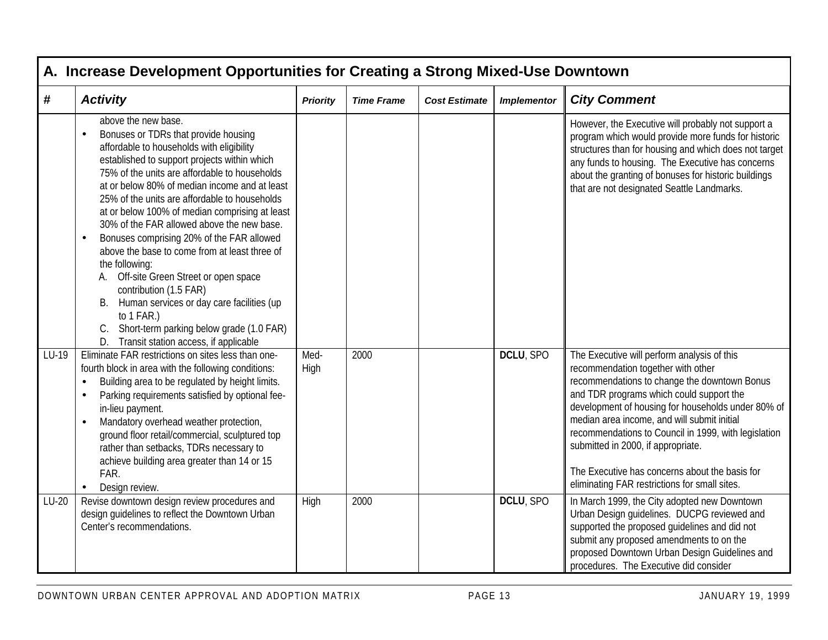|         | A. Increase Development Opportunities for Creating a Strong Mixed-Use Downtown                                                                                                                                                                                                                                                                                                                                                                                                                                                                                                                                                                                                                                                                                             |                 |                   |                      |                    |                                                                                                                                                                                                                                                                                                                                                                                                                                                                                     |
|---------|----------------------------------------------------------------------------------------------------------------------------------------------------------------------------------------------------------------------------------------------------------------------------------------------------------------------------------------------------------------------------------------------------------------------------------------------------------------------------------------------------------------------------------------------------------------------------------------------------------------------------------------------------------------------------------------------------------------------------------------------------------------------------|-----------------|-------------------|----------------------|--------------------|-------------------------------------------------------------------------------------------------------------------------------------------------------------------------------------------------------------------------------------------------------------------------------------------------------------------------------------------------------------------------------------------------------------------------------------------------------------------------------------|
| #       | <b>Activity</b>                                                                                                                                                                                                                                                                                                                                                                                                                                                                                                                                                                                                                                                                                                                                                            | <b>Priority</b> | <b>Time Frame</b> | <b>Cost Estimate</b> | <b>Implementor</b> | <b>City Comment</b>                                                                                                                                                                                                                                                                                                                                                                                                                                                                 |
|         | above the new base.<br>Bonuses or TDRs that provide housing<br>$\bullet$<br>affordable to households with eligibility<br>established to support projects within which<br>75% of the units are affordable to households<br>at or below 80% of median income and at least<br>25% of the units are affordable to households<br>at or below 100% of median comprising at least<br>30% of the FAR allowed above the new base.<br>Bonuses comprising 20% of the FAR allowed<br>above the base to come from at least three of<br>the following:<br>A. Off-site Green Street or open space<br>contribution (1.5 FAR)<br>B. Human services or day care facilities (up<br>to $1$ FAR.)<br>Short-term parking below grade (1.0 FAR)<br>C.<br>D. Transit station access, if applicable |                 |                   |                      |                    | However, the Executive will probably not support a<br>program which would provide more funds for historic<br>structures than for housing and which does not target<br>any funds to housing. The Executive has concerns<br>about the granting of bonuses for historic buildings<br>that are not designated Seattle Landmarks.                                                                                                                                                        |
| LU-19   | Eliminate FAR restrictions on sites less than one-<br>fourth block in area with the following conditions:<br>Building area to be regulated by height limits.<br>$\bullet$<br>Parking requirements satisfied by optional fee-<br>in-lieu payment.<br>Mandatory overhead weather protection,<br>$\bullet$<br>ground floor retail/commercial, sculptured top<br>rather than setbacks, TDRs necessary to<br>achieve building area greater than 14 or 15<br>FAR.<br>Design review.<br>$\bullet$                                                                                                                                                                                                                                                                                 | Med-<br>High    | 2000              |                      | <b>DCLU, SPO</b>   | The Executive will perform analysis of this<br>recommendation together with other<br>recommendations to change the downtown Bonus<br>and TDR programs which could support the<br>development of housing for households under 80% of<br>median area income, and will submit initial<br>recommendations to Council in 1999, with legislation<br>submitted in 2000, if appropriate.<br>The Executive has concerns about the basis for<br>eliminating FAR restrictions for small sites. |
| $LU-20$ | Revise downtown design review procedures and<br>design guidelines to reflect the Downtown Urban<br>Center's recommendations.                                                                                                                                                                                                                                                                                                                                                                                                                                                                                                                                                                                                                                               | High            | 2000              |                      | DCLU, SPO          | In March 1999, the City adopted new Downtown<br>Urban Design guidelines. DUCPG reviewed and<br>supported the proposed guidelines and did not<br>submit any proposed amendments to on the<br>proposed Downtown Urban Design Guidelines and<br>procedures. The Executive did consider                                                                                                                                                                                                 |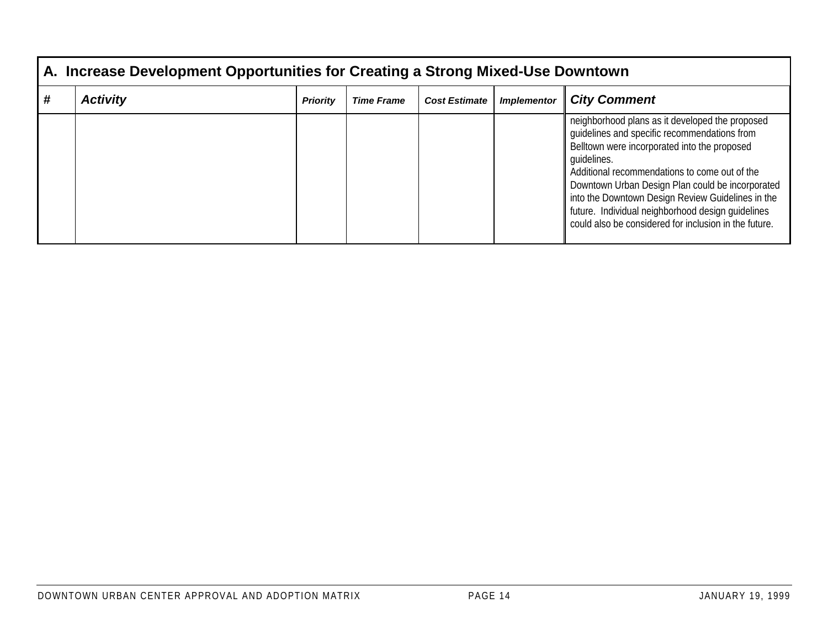| A. Increase Development Opportunities for Creating a Strong Mixed-Use Downtown |                 |                 |                   |                      |                    |                                                                                                                                                                                                                                                                                                                                                                                                                                        |  |
|--------------------------------------------------------------------------------|-----------------|-----------------|-------------------|----------------------|--------------------|----------------------------------------------------------------------------------------------------------------------------------------------------------------------------------------------------------------------------------------------------------------------------------------------------------------------------------------------------------------------------------------------------------------------------------------|--|
| 77                                                                             | <b>Activity</b> | <b>Priority</b> | <b>Time Frame</b> | <b>Cost Estimate</b> | <b>Implementor</b> | <b>City Comment</b>                                                                                                                                                                                                                                                                                                                                                                                                                    |  |
|                                                                                |                 |                 |                   |                      |                    | neighborhood plans as it developed the proposed<br>guidelines and specific recommendations from<br>Belltown were incorporated into the proposed<br>quidelines.<br>Additional recommendations to come out of the<br>Downtown Urban Design Plan could be incorporated<br>into the Downtown Design Review Guidelines in the<br>future. Individual neighborhood design quidelines<br>could also be considered for inclusion in the future. |  |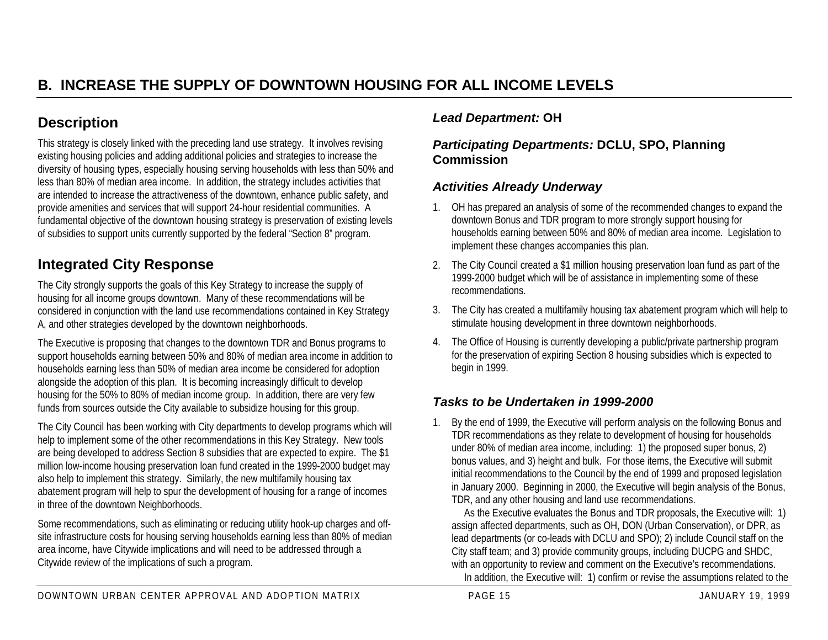# **B. INCREASE THE SUPPLY OF DOWNTOWN HOUSING FOR ALL INCOME LEVELS**

# **Description**

This strategy is closely linked with the preceding land use strategy. It involves revising existing housing policies and adding additional policies and strategies to increase the diversity of housing types, especially housing serving households with less than 50% and less than 80% of median area income. In addition, the strategy includes activities that are intended to increase the attractiveness of the downtown, enhance public safety, and provide amenities and services that will support 24-hour residential communities. A fundamental objective of the downtown housing strategy is preservation of existing levels of subsidies to support units currently supported by the federal "Section 8" program.

# **Integrated City Response**

The City strongly supports the goals of this Key Strategy to increase the supply of housing for all income groups downtown. Many of these recommendations will be considered in conjunction with the land use recommendations contained in Key Strategy A, and other strategies developed by the downtown neighborhoods.

The Executive is proposing that changes to the downtown TDR and Bonus programs to support households earning between 50% and 80% of median area income in addition to households earning less than 50% of median area income be considered for adoption alongside the adoption of this plan. It is becoming increasingly difficult to develop housing for the 50% to 80% of median income group. In addition, there are very few funds from sources outside the City available to subsidize housing for this group.

The City Council has been working with City departments to develop programs which will help to implement some of the other recommendations in this Key Strategy. New tools are being developed to address Section 8 subsidies that are expected to expire. The \$1 million low-income housing preservation loan fund created in the 1999-2000 budget may also help to implement this strategy. Similarly, the new multifamily housing tax abatement program will help to spur the development of housing for a range of incomes in three of the downtown Neighborhoods.

Some recommendations, such as eliminating or reducing utility hook-up charges and offsite infrastructure costs for housing serving households earning less than 80% of median area income, have Citywide implications and will need to be addressed through a Citywide review of the implications of such a program.

## *Lead Department:* **OH**

#### *Participating Departments:* **DCLU, SPO, Planning Commission**

#### *Activities Already Underway*

- 1. OH has prepared an analysis of some of the recommended changes to expand the downtown Bonus and TDR program to more strongly support housing for households earning between 50% and 80% of median area income. Legislation to implement these changes accompanies this plan.
- 2. The City Council created a \$1 million housing preservation loan fund as part of the 1999-2000 budget which will be of assistance in implementing some of these recommendations.
- 3. The City has created a multifamily housing tax abatement program which will help to stimulate housing development in three downtown neighborhoods.
- 4. The Office of Housing is currently developing a public/private partnership program for the preservation of expiring Section 8 housing subsidies which is expected to begin in 1999.

## *Tasks to be Undertaken in 1999-2000*

1. By the end of 1999, the Executive will perform analysis on the following Bonus and TDR recommendations as they relate to development of housing for households under 80% of median area income, including: 1) the proposed super bonus, 2) bonus values, and 3) height and bulk. For those items, the Executive will submit initial recommendations to the Council by the end of 1999 and proposed legislation in January 2000. Beginning in 2000, the Executive will begin analysis of the Bonus, TDR, and any other housing and land use recommendations.

 As the Executive evaluates the Bonus and TDR proposals, the Executive will: 1) assign affected departments, such as OH, DON (Urban Conservation), or DPR, as lead departments (or co-leads with DCLU and SPO); 2) include Council staff on the City staff team; and 3) provide community groups, including DUCPG and SHDC, with an opportunity to review and comment on the Executive's recommendations. In addition, the Executive will: 1) confirm or revise the assumptions related to the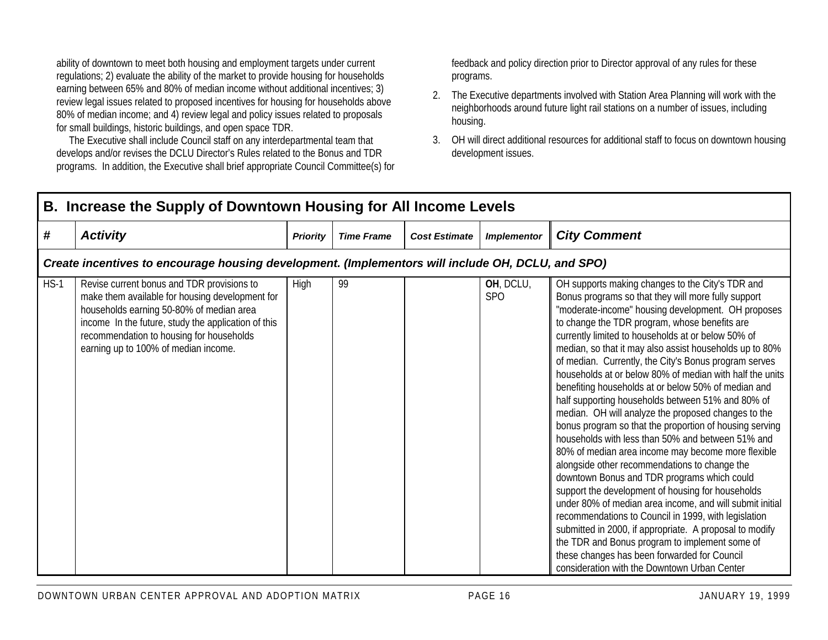ability of downtown to meet both housing and employment targets under current regulations; 2) evaluate the ability of the market to provide housing for households earning between 65% and 80% of median income without additional incentives; 3) review legal issues related to proposed incentives for housing for households above 80% of median income; and 4) review legal and policy issues related to proposals for small buildings, historic buildings, and open space TDR.

 The Executive shall include Council staff on any interdepartmental team that develops and/or revises the DCLU Director's Rules related to the Bonus and TDR programs. In addition, the Executive shall brief appropriate Council Committee(s) for feedback and policy direction prior to Director approval of any rules for these programs.

- 2. The Executive departments involved with Station Area Planning will work with the neighborhoods around future light rail stations on a number of issues, including housing.
- 3. OH will direct additional resources for additional staff to focus on downtown housing development issues.

|        | B. Increase the Supply of Downtown Housing for All Income Levels                                                                                                                                                                                                                     |                 |                   |                      |                         |                                                                                                                                                                                                                                                                                                                                                                                                                                                                                                                                                                                                                                                                                                                                                                                                                                                                                                                                                                                                                                                                                                                                                                                                                                                                                     |  |  |  |  |
|--------|--------------------------------------------------------------------------------------------------------------------------------------------------------------------------------------------------------------------------------------------------------------------------------------|-----------------|-------------------|----------------------|-------------------------|-------------------------------------------------------------------------------------------------------------------------------------------------------------------------------------------------------------------------------------------------------------------------------------------------------------------------------------------------------------------------------------------------------------------------------------------------------------------------------------------------------------------------------------------------------------------------------------------------------------------------------------------------------------------------------------------------------------------------------------------------------------------------------------------------------------------------------------------------------------------------------------------------------------------------------------------------------------------------------------------------------------------------------------------------------------------------------------------------------------------------------------------------------------------------------------------------------------------------------------------------------------------------------------|--|--|--|--|
| #      | <b>Activity</b>                                                                                                                                                                                                                                                                      | <b>Priority</b> | <b>Time Frame</b> | <b>Cost Estimate</b> | <b>Implementor</b>      | <b>City Comment</b>                                                                                                                                                                                                                                                                                                                                                                                                                                                                                                                                                                                                                                                                                                                                                                                                                                                                                                                                                                                                                                                                                                                                                                                                                                                                 |  |  |  |  |
|        | Create incentives to encourage housing development. (Implementors will include OH, DCLU, and SPO)                                                                                                                                                                                    |                 |                   |                      |                         |                                                                                                                                                                                                                                                                                                                                                                                                                                                                                                                                                                                                                                                                                                                                                                                                                                                                                                                                                                                                                                                                                                                                                                                                                                                                                     |  |  |  |  |
| $HS-1$ | Revise current bonus and TDR provisions to<br>make them available for housing development for<br>households earning 50-80% of median area<br>income In the future, study the application of this<br>recommendation to housing for households<br>earning up to 100% of median income. | High            | 99                |                      | OH, DCLU,<br><b>SPO</b> | OH supports making changes to the City's TDR and<br>Bonus programs so that they will more fully support<br>"moderate-income" housing development. OH proposes<br>to change the TDR program, whose benefits are<br>currently limited to households at or below 50% of<br>median, so that it may also assist households up to 80%<br>of median. Currently, the City's Bonus program serves<br>households at or below 80% of median with half the units<br>benefiting households at or below 50% of median and<br>half supporting households between 51% and 80% of<br>median. OH will analyze the proposed changes to the<br>bonus program so that the proportion of housing serving<br>households with less than 50% and between 51% and<br>80% of median area income may become more flexible<br>alongside other recommendations to change the<br>downtown Bonus and TDR programs which could<br>support the development of housing for households<br>under 80% of median area income, and will submit initial<br>recommendations to Council in 1999, with legislation<br>submitted in 2000, if appropriate. A proposal to modify<br>the TDR and Bonus program to implement some of<br>these changes has been forwarded for Council<br>consideration with the Downtown Urban Center |  |  |  |  |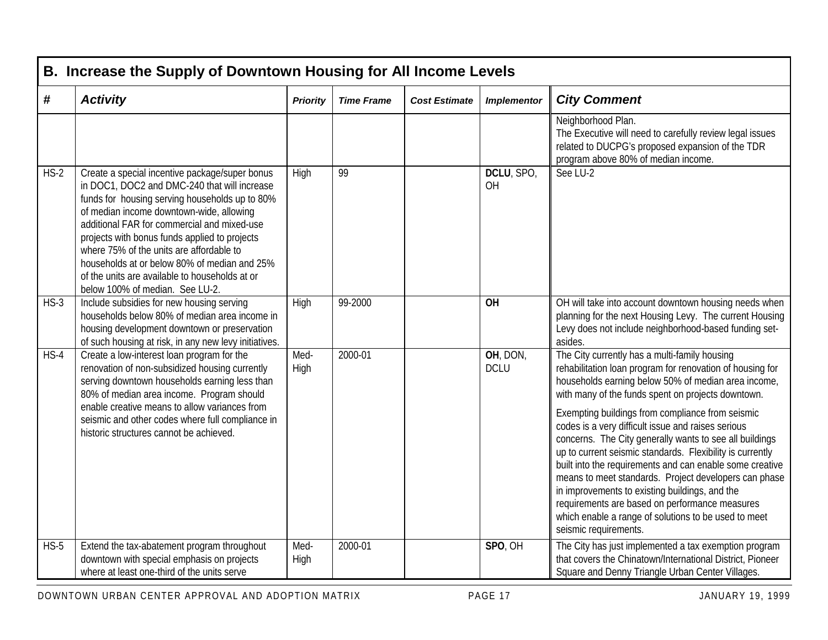|                   | B. Increase the Supply of Downtown Housing for All Income Levels                                                                                                                                                                                                                                                                                                                                                                                                              |                 |                   |                      |                         |                                                                                                                                                                                                                                                                                                                                                                                                                                                                                                                                                                                                                                                                                                                                                                     |  |  |  |  |
|-------------------|-------------------------------------------------------------------------------------------------------------------------------------------------------------------------------------------------------------------------------------------------------------------------------------------------------------------------------------------------------------------------------------------------------------------------------------------------------------------------------|-----------------|-------------------|----------------------|-------------------------|---------------------------------------------------------------------------------------------------------------------------------------------------------------------------------------------------------------------------------------------------------------------------------------------------------------------------------------------------------------------------------------------------------------------------------------------------------------------------------------------------------------------------------------------------------------------------------------------------------------------------------------------------------------------------------------------------------------------------------------------------------------------|--|--|--|--|
| $\boldsymbol{\#}$ | <b>Activity</b>                                                                                                                                                                                                                                                                                                                                                                                                                                                               | <b>Priority</b> | <b>Time Frame</b> | <b>Cost Estimate</b> | <b>Implementor</b>      | <b>City Comment</b>                                                                                                                                                                                                                                                                                                                                                                                                                                                                                                                                                                                                                                                                                                                                                 |  |  |  |  |
|                   |                                                                                                                                                                                                                                                                                                                                                                                                                                                                               |                 |                   |                      |                         | Neighborhood Plan.<br>The Executive will need to carefully review legal issues<br>related to DUCPG's proposed expansion of the TDR<br>program above 80% of median income.                                                                                                                                                                                                                                                                                                                                                                                                                                                                                                                                                                                           |  |  |  |  |
| $HS-2$            | Create a special incentive package/super bonus<br>in DOC1, DOC2 and DMC-240 that will increase<br>funds for housing serving households up to 80%<br>of median income downtown-wide, allowing<br>additional FAR for commercial and mixed-use<br>projects with bonus funds applied to projects<br>where 75% of the units are affordable to<br>households at or below 80% of median and 25%<br>of the units are available to households at or<br>below 100% of median. See LU-2. | High            | 99                |                      | DCLU, SPO,<br><b>OH</b> | See LU-2                                                                                                                                                                                                                                                                                                                                                                                                                                                                                                                                                                                                                                                                                                                                                            |  |  |  |  |
| $HS-3$            | Include subsidies for new housing serving<br>households below 80% of median area income in<br>housing development downtown or preservation<br>of such housing at risk, in any new levy initiatives.                                                                                                                                                                                                                                                                           | High            | 99-2000           |                      | $\overline{OH}$         | OH will take into account downtown housing needs when<br>planning for the next Housing Levy. The current Housing<br>Levy does not include neighborhood-based funding set-<br>asides.                                                                                                                                                                                                                                                                                                                                                                                                                                                                                                                                                                                |  |  |  |  |
| $HS-4$            | Create a low-interest loan program for the<br>renovation of non-subsidized housing currently<br>serving downtown households earning less than<br>80% of median area income. Program should<br>enable creative means to allow variances from<br>seismic and other codes where full compliance in<br>historic structures cannot be achieved.                                                                                                                                    | Med-<br>High    | 2000-01           |                      | OH, DON,<br><b>DCLU</b> | The City currently has a multi-family housing<br>rehabilitation loan program for renovation of housing for<br>households earning below 50% of median area income,<br>with many of the funds spent on projects downtown.<br>Exempting buildings from compliance from seismic<br>codes is a very difficult issue and raises serious<br>concerns. The City generally wants to see all buildings<br>up to current seismic standards. Flexibility is currently<br>built into the requirements and can enable some creative<br>means to meet standards. Project developers can phase<br>in improvements to existing buildings, and the<br>requirements are based on performance measures<br>which enable a range of solutions to be used to meet<br>seismic requirements. |  |  |  |  |
| $HS-5$            | Extend the tax-abatement program throughout<br>downtown with special emphasis on projects<br>where at least one-third of the units serve                                                                                                                                                                                                                                                                                                                                      | Med-<br>High    | 2000-01           |                      | SPO, OH                 | The City has just implemented a tax exemption program<br>that covers the Chinatown/International District, Pioneer<br>Square and Denny Triangle Urban Center Villages.                                                                                                                                                                                                                                                                                                                                                                                                                                                                                                                                                                                              |  |  |  |  |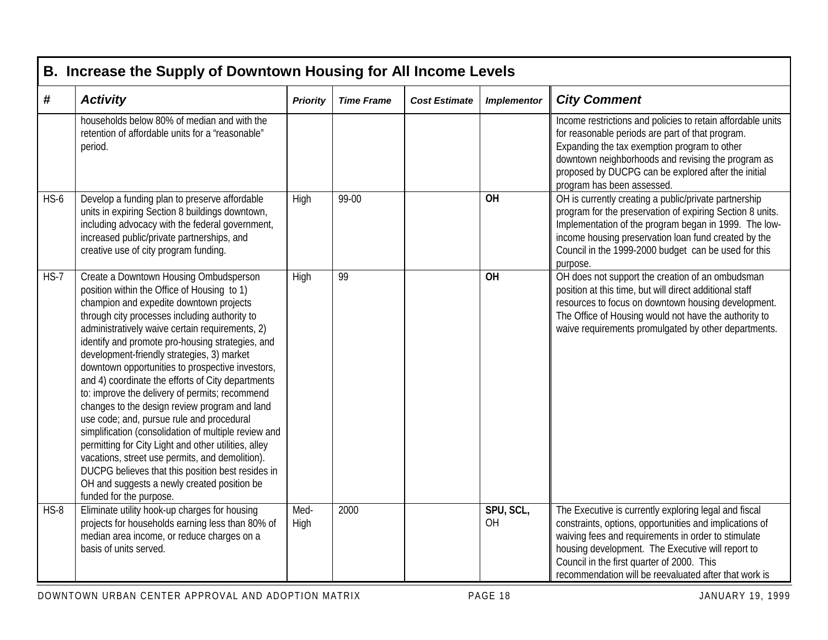|        | B. Increase the Supply of Downtown Housing for All Income Levels                                                                                                                                                                                                                                                                                                                                                                                                                                                                                                                                                                                                                                                                                                                                                                                                                                  |                 |                   |                      |                        |                                                                                                                                                                                                                                                                                                                                     |  |  |  |  |
|--------|---------------------------------------------------------------------------------------------------------------------------------------------------------------------------------------------------------------------------------------------------------------------------------------------------------------------------------------------------------------------------------------------------------------------------------------------------------------------------------------------------------------------------------------------------------------------------------------------------------------------------------------------------------------------------------------------------------------------------------------------------------------------------------------------------------------------------------------------------------------------------------------------------|-----------------|-------------------|----------------------|------------------------|-------------------------------------------------------------------------------------------------------------------------------------------------------------------------------------------------------------------------------------------------------------------------------------------------------------------------------------|--|--|--|--|
| #      | <b>Activity</b>                                                                                                                                                                                                                                                                                                                                                                                                                                                                                                                                                                                                                                                                                                                                                                                                                                                                                   | <b>Priority</b> | <b>Time Frame</b> | <b>Cost Estimate</b> | <b>Implementor</b>     | <b>City Comment</b>                                                                                                                                                                                                                                                                                                                 |  |  |  |  |
|        | households below 80% of median and with the<br>retention of affordable units for a "reasonable"<br>period.                                                                                                                                                                                                                                                                                                                                                                                                                                                                                                                                                                                                                                                                                                                                                                                        |                 |                   |                      |                        | Income restrictions and policies to retain affordable units<br>for reasonable periods are part of that program.<br>Expanding the tax exemption program to other<br>downtown neighborhoods and revising the program as<br>proposed by DUCPG can be explored after the initial<br>program has been assessed.                          |  |  |  |  |
| $HS-6$ | Develop a funding plan to preserve affordable<br>units in expiring Section 8 buildings downtown,<br>including advocacy with the federal government,<br>increased public/private partnerships, and<br>creative use of city program funding.                                                                                                                                                                                                                                                                                                                                                                                                                                                                                                                                                                                                                                                        | High            | 99-00             |                      | $\overline{OH}$        | OH is currently creating a public/private partnership<br>program for the preservation of expiring Section 8 units.<br>Implementation of the program began in 1999. The low-<br>income housing preservation loan fund created by the<br>Council in the 1999-2000 budget can be used for this<br>purpose.                             |  |  |  |  |
| $HS-7$ | Create a Downtown Housing Ombudsperson<br>position within the Office of Housing to 1)<br>champion and expedite downtown projects<br>through city processes including authority to<br>administratively waive certain requirements, 2)<br>identify and promote pro-housing strategies, and<br>development-friendly strategies, 3) market<br>downtown opportunities to prospective investors,<br>and 4) coordinate the efforts of City departments<br>to: improve the delivery of permits; recommend<br>changes to the design review program and land<br>use code; and, pursue rule and procedural<br>simplification (consolidation of multiple review and<br>permitting for City Light and other utilities, alley<br>vacations, street use permits, and demolition).<br>DUCPG believes that this position best resides in<br>OH and suggests a newly created position be<br>funded for the purpose. | High            | 99                |                      | $\overline{OH}$        | OH does not support the creation of an ombudsman<br>position at this time, but will direct additional staff<br>resources to focus on downtown housing development.<br>The Office of Housing would not have the authority to<br>waive requirements promulgated by other departments.                                                 |  |  |  |  |
| $HS-8$ | Eliminate utility hook-up charges for housing<br>projects for households earning less than 80% of<br>median area income, or reduce charges on a<br>basis of units served.                                                                                                                                                                                                                                                                                                                                                                                                                                                                                                                                                                                                                                                                                                                         | Med-<br>High    | 2000              |                      | SPU, SCL,<br><b>OH</b> | The Executive is currently exploring legal and fiscal<br>constraints, options, opportunities and implications of<br>waiving fees and requirements in order to stimulate<br>housing development. The Executive will report to<br>Council in the first quarter of 2000. This<br>recommendation will be reevaluated after that work is |  |  |  |  |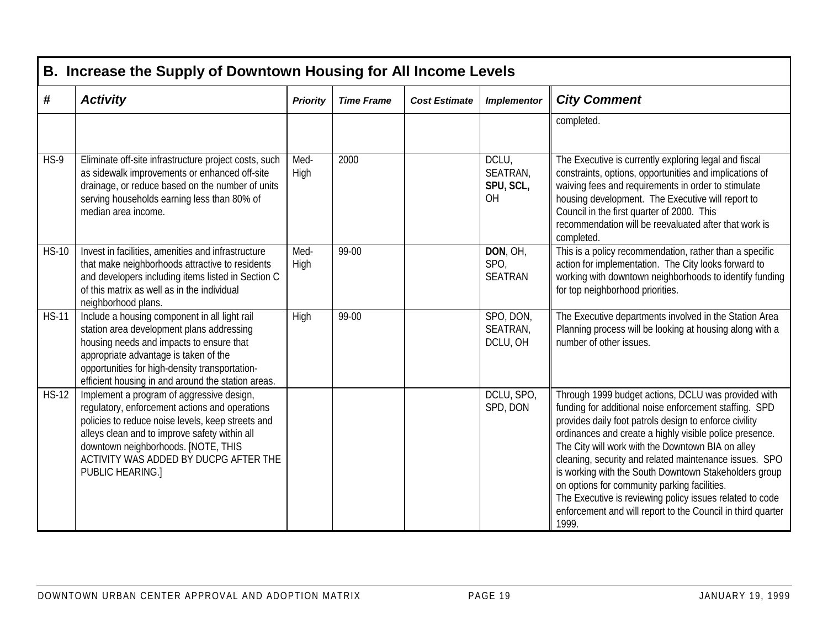|              | B. Increase the Supply of Downtown Housing for All Income Levels                                                                                                                                                                                                                                      |                 |                   |                      |                                             |                                                                                                                                                                                                                                                                                                                                                                                                                                                                                                                                                                                                |  |  |  |  |
|--------------|-------------------------------------------------------------------------------------------------------------------------------------------------------------------------------------------------------------------------------------------------------------------------------------------------------|-----------------|-------------------|----------------------|---------------------------------------------|------------------------------------------------------------------------------------------------------------------------------------------------------------------------------------------------------------------------------------------------------------------------------------------------------------------------------------------------------------------------------------------------------------------------------------------------------------------------------------------------------------------------------------------------------------------------------------------------|--|--|--|--|
| #            | <b>Activity</b>                                                                                                                                                                                                                                                                                       | <b>Priority</b> | <b>Time Frame</b> | <b>Cost Estimate</b> | <b>Implementor</b>                          | <b>City Comment</b>                                                                                                                                                                                                                                                                                                                                                                                                                                                                                                                                                                            |  |  |  |  |
|              |                                                                                                                                                                                                                                                                                                       |                 |                   |                      |                                             | completed.                                                                                                                                                                                                                                                                                                                                                                                                                                                                                                                                                                                     |  |  |  |  |
| $HS-9$       | Eliminate off-site infrastructure project costs, such<br>as sidewalk improvements or enhanced off-site<br>drainage, or reduce based on the number of units<br>serving households earning less than 80% of<br>median area income.                                                                      | Med-<br>High    | 2000              |                      | DCLU,<br>SEATRAN,<br>SPU, SCL,<br><b>OH</b> | The Executive is currently exploring legal and fiscal<br>constraints, options, opportunities and implications of<br>waiving fees and requirements in order to stimulate<br>housing development. The Executive will report to<br>Council in the first quarter of 2000. This<br>recommendation will be reevaluated after that work is<br>completed.                                                                                                                                                                                                                                              |  |  |  |  |
| <b>HS-10</b> | Invest in facilities, amenities and infrastructure<br>that make neighborhoods attractive to residents<br>and developers including items listed in Section C<br>of this matrix as well as in the individual<br>neighborhood plans.                                                                     | Med-<br>High    | 99-00             |                      | DON, OH,<br>SPO,<br><b>SEATRAN</b>          | This is a policy recommendation, rather than a specific<br>action for implementation. The City looks forward to<br>working with downtown neighborhoods to identify funding<br>for top neighborhood priorities.                                                                                                                                                                                                                                                                                                                                                                                 |  |  |  |  |
| <b>HS-11</b> | Include a housing component in all light rail<br>station area development plans addressing<br>housing needs and impacts to ensure that<br>appropriate advantage is taken of the<br>opportunities for high-density transportation-<br>efficient housing in and around the station areas.               | High            | 99-00             |                      | SPO, DON,<br>SEATRAN,<br>DCLU, OH           | The Executive departments involved in the Station Area<br>Planning process will be looking at housing along with a<br>number of other issues.                                                                                                                                                                                                                                                                                                                                                                                                                                                  |  |  |  |  |
| <b>HS-12</b> | Implement a program of aggressive design,<br>regulatory, enforcement actions and operations<br>policies to reduce noise levels, keep streets and<br>alleys clean and to improve safety within all<br>downtown neighborhoods. [NOTE, THIS<br>ACTIVITY WAS ADDED BY DUCPG AFTER THE<br>PUBLIC HEARING.] |                 |                   |                      | DCLU, SPO,<br>SPD, DON                      | Through 1999 budget actions, DCLU was provided with<br>funding for additional noise enforcement staffing. SPD<br>provides daily foot patrols design to enforce civility<br>ordinances and create a highly visible police presence.<br>The City will work with the Downtown BIA on alley<br>cleaning, security and related maintenance issues. SPO<br>is working with the South Downtown Stakeholders group<br>on options for community parking facilities.<br>The Executive is reviewing policy issues related to code<br>enforcement and will report to the Council in third quarter<br>1999. |  |  |  |  |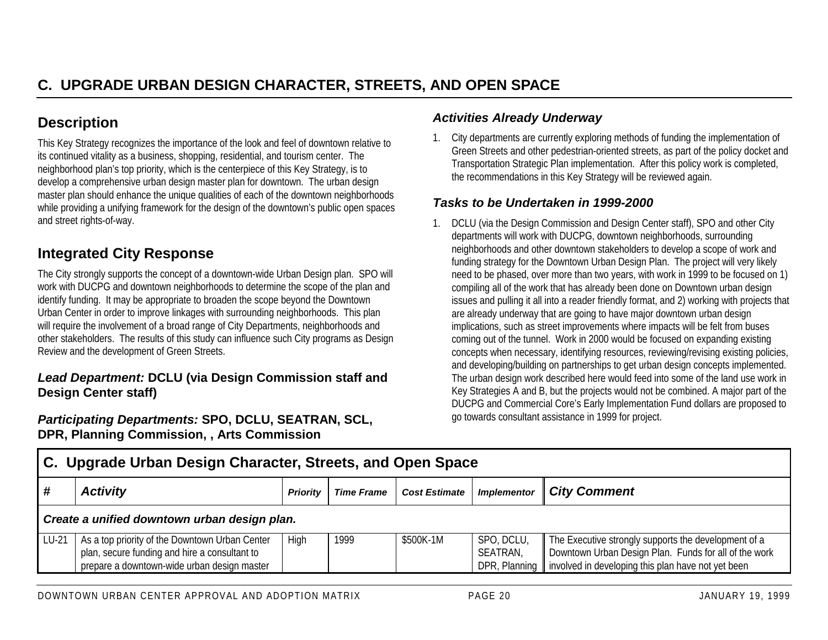# **Description**

This Key Strategy recognizes the importance of the look and feel of downtown relative to its continued vitality as a business, shopping, residential, and tourism center. The neighborhood plan's top priority, which is the centerpiece of this Key Strategy, is to develop a comprehensive urban design master plan for downtown. The urban design master plan should enhance the unique qualities of each of the downtown neighborhoods while providing a unifying framework for the design of the downtown's public open spaces and street rights-of-way.

# **Integrated City Response**

The City strongly supports the concept of a downtown-wide Urban Design plan. SPO will work with DUCPG and downtown neighborhoods to determine the scope of the plan and identify funding. It may be appropriate to broaden the scope beyond the Downtown Urban Center in order to improve linkages with surrounding neighborhoods. This plan will require the involvement of a broad range of City Departments, neighborhoods and other stakeholders. The results of this study can influence such City programs as Design Review and the development of Green Streets.

#### *Lead Department:* **DCLU (via Design Commission staff and Design Center staff)**

*Participating Departments:* **SPO, DCLU, SEATRAN, SCL, DPR, Planning Commission, , Arts Commission**

## *Activities Already Underway*

1. City departments are currently exploring methods of funding the implementation of Green Streets and other pedestrian-oriented streets, as part of the policy docket and Transportation Strategic Plan implementation. After this policy work is completed, the recommendations in this Key Strategy will be reviewed again.

#### *Tasks to be Undertaken in 1999-2000*

1. DCLU (via the Design Commission and Design Center staff), SPO and other City departments will work with DUCPG, downtown neighborhoods, surrounding neighborhoods and other downtown stakeholders to develop a scope of work and funding strategy for the Downtown Urban Design Plan. The project will very likely need to be phased, over more than two years, with work in 1999 to be focused on 1) compiling all of the work that has already been done on Downtown urban design issues and pulling it all into a reader friendly format, and 2) working with projects that are already underway that are going to have major downtown urban design implications, such as street improvements where impacts will be felt from buses coming out of the tunnel. Work in 2000 would be focused on expanding existing concepts when necessary, identifying resources, reviewing/revising existing policies, and developing/building on partnerships to get urban design concepts implemented. The urban design work described here would feed into some of the land use work in Key Strategies A and B, but the projects would not be combined. A major part of the DUCPG and Commercial Core's Early Implementation Fund dollars are proposed to go towards consultant assistance in 1999 for project.

|       | C. Upgrade Urban Design Character, Streets, and Open Space                                                                                     |                 |                   |                      |                                         |                                                                                                                                                                     |  |  |  |  |
|-------|------------------------------------------------------------------------------------------------------------------------------------------------|-----------------|-------------------|----------------------|-----------------------------------------|---------------------------------------------------------------------------------------------------------------------------------------------------------------------|--|--|--|--|
|       | <b>Activity</b>                                                                                                                                | <b>Priority</b> | <b>Time Frame</b> | <b>Cost Estimate</b> | <b>Implementor</b>                      | <b>City Comment</b>                                                                                                                                                 |  |  |  |  |
|       | Create a unified downtown urban design plan.                                                                                                   |                 |                   |                      |                                         |                                                                                                                                                                     |  |  |  |  |
| LU-21 | As a top priority of the Downtown Urban Center<br>plan, secure funding and hire a consultant to<br>prepare a downtown-wide urban design master | High            | 1999              | \$500K-1M            | SPO, DCLU,<br>SEATRAN,<br>DPR, Planning | The Executive strongly supports the development of a<br>Downtown Urban Design Plan. Funds for all of the work<br>involved in developing this plan have not yet been |  |  |  |  |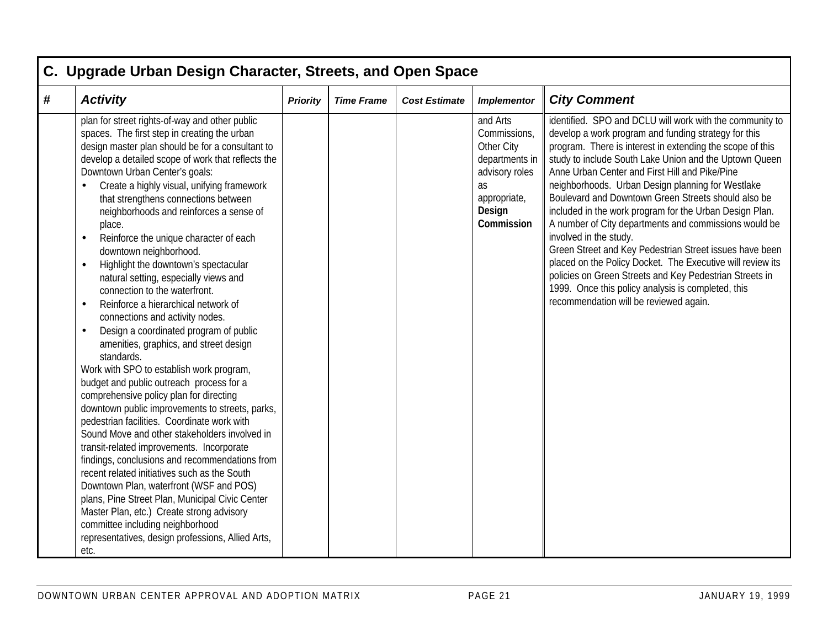| # | <b>Activity</b>                                                                                                                                                                                                                                                                                                                                                                                                                                                                                                                                                                                                                                                                                                                                                                                                                                                                                                                                                                                                                                                                                                                                                                                                                                                                                                                                                                                                                                                                              | <b>Priority</b> | <b>Time Frame</b> | <b>Cost Estimate</b> | <b>Implementor</b>                                                                                                       | <b>City Comment</b>                                                                                                                                                                                                                                                                                                                                                                                                                                                                                                                                                                                                                                                                                                                                                                                                                     |
|---|----------------------------------------------------------------------------------------------------------------------------------------------------------------------------------------------------------------------------------------------------------------------------------------------------------------------------------------------------------------------------------------------------------------------------------------------------------------------------------------------------------------------------------------------------------------------------------------------------------------------------------------------------------------------------------------------------------------------------------------------------------------------------------------------------------------------------------------------------------------------------------------------------------------------------------------------------------------------------------------------------------------------------------------------------------------------------------------------------------------------------------------------------------------------------------------------------------------------------------------------------------------------------------------------------------------------------------------------------------------------------------------------------------------------------------------------------------------------------------------------|-----------------|-------------------|----------------------|--------------------------------------------------------------------------------------------------------------------------|-----------------------------------------------------------------------------------------------------------------------------------------------------------------------------------------------------------------------------------------------------------------------------------------------------------------------------------------------------------------------------------------------------------------------------------------------------------------------------------------------------------------------------------------------------------------------------------------------------------------------------------------------------------------------------------------------------------------------------------------------------------------------------------------------------------------------------------------|
|   | plan for street rights-of-way and other public<br>spaces. The first step in creating the urban<br>design master plan should be for a consultant to<br>develop a detailed scope of work that reflects the<br>Downtown Urban Center's goals:<br>Create a highly visual, unifying framework<br>that strengthens connections between<br>neighborhoods and reinforces a sense of<br>place.<br>Reinforce the unique character of each<br>$\bullet$<br>downtown neighborhood.<br>Highlight the downtown's spectacular<br>$\bullet$<br>natural setting, especially views and<br>connection to the waterfront.<br>Reinforce a hierarchical network of<br>$\bullet$<br>connections and activity nodes.<br>Design a coordinated program of public<br>$\bullet$<br>amenities, graphics, and street design<br>standards.<br>Work with SPO to establish work program,<br>budget and public outreach process for a<br>comprehensive policy plan for directing<br>downtown public improvements to streets, parks,<br>pedestrian facilities. Coordinate work with<br>Sound Move and other stakeholders involved in<br>transit-related improvements. Incorporate<br>findings, conclusions and recommendations from<br>recent related initiatives such as the South<br>Downtown Plan, waterfront (WSF and POS)<br>plans, Pine Street Plan, Municipal Civic Center<br>Master Plan, etc.) Create strong advisory<br>committee including neighborhood<br>representatives, design professions, Allied Arts,<br>etc. |                 |                   |                      | and Arts<br>Commissions,<br>Other City<br>departments in<br>advisory roles<br>as<br>appropriate,<br>Design<br>Commission | identified. SPO and DCLU will work with the community to<br>develop a work program and funding strategy for this<br>program. There is interest in extending the scope of this<br>study to include South Lake Union and the Uptown Queen<br>Anne Urban Center and First Hill and Pike/Pine<br>neighborhoods. Urban Design planning for Westlake<br>Boulevard and Downtown Green Streets should also be<br>included in the work program for the Urban Design Plan.<br>A number of City departments and commissions would be<br>involved in the study.<br>Green Street and Key Pedestrian Street issues have been<br>placed on the Policy Docket. The Executive will review its<br>policies on Green Streets and Key Pedestrian Streets in<br>1999. Once this policy analysis is completed, this<br>recommendation will be reviewed again. |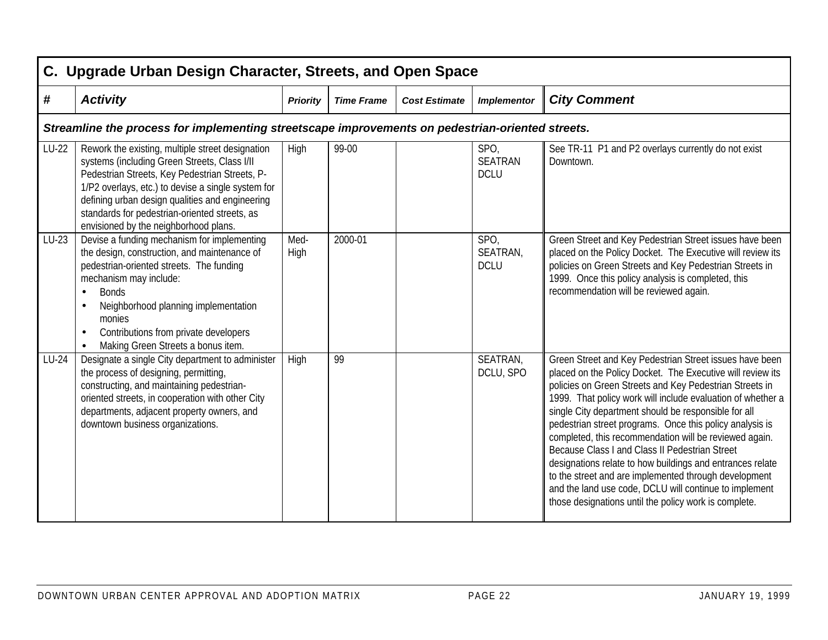|       | C. Upgrade Urban Design Character, Streets, and Open Space                                                                                                                                                                                                                                                                                            |                 |                   |                      |                                       |                                                                                                                                                                                                                                                                                                                                                                                                                                                                                                                                                                                                                                                                                                                          |  |  |  |  |
|-------|-------------------------------------------------------------------------------------------------------------------------------------------------------------------------------------------------------------------------------------------------------------------------------------------------------------------------------------------------------|-----------------|-------------------|----------------------|---------------------------------------|--------------------------------------------------------------------------------------------------------------------------------------------------------------------------------------------------------------------------------------------------------------------------------------------------------------------------------------------------------------------------------------------------------------------------------------------------------------------------------------------------------------------------------------------------------------------------------------------------------------------------------------------------------------------------------------------------------------------------|--|--|--|--|
| #     | <b>Activity</b>                                                                                                                                                                                                                                                                                                                                       | <b>Priority</b> | <b>Time Frame</b> | <b>Cost Estimate</b> | <b>Implementor</b>                    | <b>City Comment</b>                                                                                                                                                                                                                                                                                                                                                                                                                                                                                                                                                                                                                                                                                                      |  |  |  |  |
|       | Streamline the process for implementing streetscape improvements on pedestrian-oriented streets.                                                                                                                                                                                                                                                      |                 |                   |                      |                                       |                                                                                                                                                                                                                                                                                                                                                                                                                                                                                                                                                                                                                                                                                                                          |  |  |  |  |
| LU-22 | Rework the existing, multiple street designation<br>systems (including Green Streets, Class I/II<br>Pedestrian Streets, Key Pedestrian Streets, P-<br>1/P2 overlays, etc.) to devise a single system for<br>defining urban design qualities and engineering<br>standards for pedestrian-oriented streets, as<br>envisioned by the neighborhood plans. | High            | 99-00             |                      | SPO,<br><b>SEATRAN</b><br><b>DCLU</b> | See TR-11 P1 and P2 overlays currently do not exist<br>Downtown.                                                                                                                                                                                                                                                                                                                                                                                                                                                                                                                                                                                                                                                         |  |  |  |  |
| LU-23 | Devise a funding mechanism for implementing<br>the design, construction, and maintenance of<br>pedestrian-oriented streets. The funding<br>mechanism may include:<br><b>Bonds</b><br>Neighborhood planning implementation<br>monies<br>Contributions from private developers<br>Making Green Streets a bonus item.                                    | Med-<br>High    | 2000-01           |                      | SPO,<br>SEATRAN,<br><b>DCLU</b>       | Green Street and Key Pedestrian Street issues have been<br>placed on the Policy Docket. The Executive will review its<br>policies on Green Streets and Key Pedestrian Streets in<br>1999. Once this policy analysis is completed, this<br>recommendation will be reviewed again.                                                                                                                                                                                                                                                                                                                                                                                                                                         |  |  |  |  |
| LU-24 | Designate a single City department to administer<br>the process of designing, permitting,<br>constructing, and maintaining pedestrian-<br>oriented streets, in cooperation with other City<br>departments, adjacent property owners, and<br>downtown business organizations.                                                                          | High            | 99                |                      | SEATRAN,<br>DCLU, SPO                 | Green Street and Key Pedestrian Street issues have been<br>placed on the Policy Docket. The Executive will review its<br>policies on Green Streets and Key Pedestrian Streets in<br>1999. That policy work will include evaluation of whether a<br>single City department should be responsible for all<br>pedestrian street programs. Once this policy analysis is<br>completed, this recommendation will be reviewed again.<br>Because Class I and Class II Pedestrian Street<br>designations relate to how buildings and entrances relate<br>to the street and are implemented through development<br>and the land use code, DCLU will continue to implement<br>those designations until the policy work is complete. |  |  |  |  |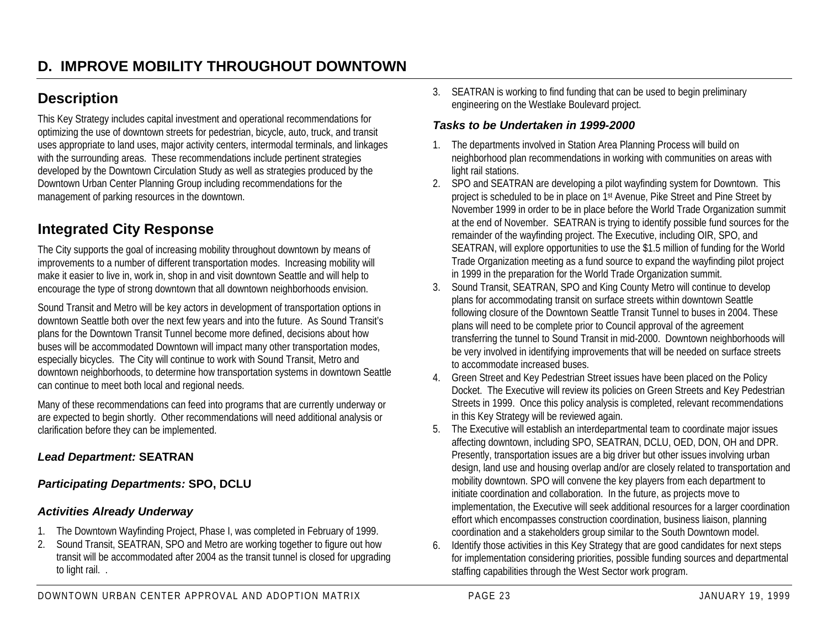# **Description**

This Key Strategy includes capital investment and operational recommendations for optimizing the use of downtown streets for pedestrian, bicycle, auto, truck, and transit uses appropriate to land uses, major activity centers, intermodal terminals, and linkages with the surrounding areas. These recommendations include pertinent strategies developed by the Downtown Circulation Study as well as strategies produced by the Downtown Urban Center Planning Group including recommendations for the management of parking resources in the downtown.

# **Integrated City Response**

The City supports the goal of increasing mobility throughout downtown by means of improvements to a number of different transportation modes. Increasing mobility will make it easier to live in, work in, shop in and visit downtown Seattle and will help to encourage the type of strong downtown that all downtown neighborhoods envision.

Sound Transit and Metro will be key actors in development of transportation options in downtown Seattle both over the next few years and into the future. As Sound Transit's plans for the Downtown Transit Tunnel become more defined, decisions about how buses will be accommodated Downtown will impact many other transportation modes, especially bicycles. The City will continue to work with Sound Transit, Metro and downtown neighborhoods, to determine how transportation systems in downtown Seattle can continue to meet both local and regional needs.

Many of these recommendations can feed into programs that are currently underway or are expected to begin shortly. Other recommendations will need additional analysis or clarification before they can be implemented.

## *Lead Department:* **SEATRAN**

## *Participating Departments:* **SPO, DCLU**

## *Activities Already Underway*

- 1. The Downtown Wayfinding Project, Phase I, was completed in February of 1999.
- 2. Sound Transit, SEATRAN, SPO and Metro are working together to figure out how transit will be accommodated after 2004 as the transit tunnel is closed for upgrading to light rail. .

3. SEATRAN is working to find funding that can be used to begin preliminary engineering on the Westlake Boulevard project.

## *Tasks to be Undertaken in 1999-2000*

- 1. The departments involved in Station Area Planning Process will build on neighborhood plan recommendations in working with communities on areas with light rail stations.
- 2. SPO and SEATRAN are developing a pilot wayfinding system for Downtown. This project is scheduled to be in place on 1st Avenue, Pike Street and Pine Street by November 1999 in order to be in place before the World Trade Organization summit at the end of November. SEATRAN is trying to identify possible fund sources for the remainder of the wayfinding project. The Executive, including OIR, SPO, and SEATRAN, will explore opportunities to use the \$1.5 million of funding for the World Trade Organization meeting as a fund source to expand the wayfinding pilot project in 1999 in the preparation for the World Trade Organization summit.
- 3. Sound Transit, SEATRAN, SPO and King County Metro will continue to develop plans for accommodating transit on surface streets within downtown Seattle following closure of the Downtown Seattle Transit Tunnel to buses in 2004. These plans will need to be complete prior to Council approval of the agreement transferring the tunnel to Sound Transit in mid-2000. Downtown neighborhoods will be very involved in identifying improvements that will be needed on surface streets to accommodate increased buses.
- 4. Green Street and Key Pedestrian Street issues have been placed on the Policy Docket. The Executive will review its policies on Green Streets and Key Pedestrian Streets in 1999. Once this policy analysis is completed, relevant recommendations in this Key Strategy will be reviewed again.
- 5. The Executive will establish an interdepartmental team to coordinate major issues affecting downtown, including SPO, SEATRAN, DCLU, OED, DON, OH and DPR. Presently, transportation issues are a big driver but other issues involving urban design, land use and housing overlap and/or are closely related to transportation and mobility downtown. SPO will convene the key players from each department to initiate coordination and collaboration. In the future, as projects move to implementation, the Executive will seek additional resources for a larger coordination effort which encompasses construction coordination, business liaison, planning coordination and a stakeholders group similar to the South Downtown model.
- 6. Identify those activities in this Key Strategy that are good candidates for next steps for implementation considering priorities, possible funding sources and departmental staffing capabilities through the West Sector work program.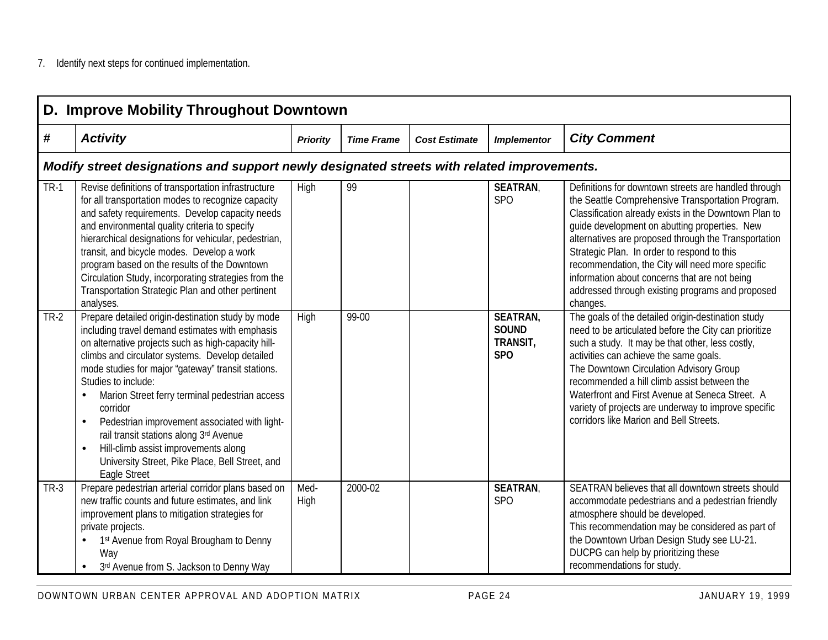|             | D. Improve Mobility Throughout Downtown                                                                                                                                                                                                                                                                                                                                                                                                                                                                                                                                             |                 |                   |                      |                                                           |                                                                                                                                                                                                                                                                                                                                                                                                                                                                                                 |  |  |  |  |
|-------------|-------------------------------------------------------------------------------------------------------------------------------------------------------------------------------------------------------------------------------------------------------------------------------------------------------------------------------------------------------------------------------------------------------------------------------------------------------------------------------------------------------------------------------------------------------------------------------------|-----------------|-------------------|----------------------|-----------------------------------------------------------|-------------------------------------------------------------------------------------------------------------------------------------------------------------------------------------------------------------------------------------------------------------------------------------------------------------------------------------------------------------------------------------------------------------------------------------------------------------------------------------------------|--|--|--|--|
| #           | <b>Activity</b>                                                                                                                                                                                                                                                                                                                                                                                                                                                                                                                                                                     | <b>Priority</b> | <b>Time Frame</b> | <b>Cost Estimate</b> | <b>Implementor</b>                                        | <b>City Comment</b>                                                                                                                                                                                                                                                                                                                                                                                                                                                                             |  |  |  |  |
|             | Modify street designations and support newly designated streets with related improvements.                                                                                                                                                                                                                                                                                                                                                                                                                                                                                          |                 |                   |                      |                                                           |                                                                                                                                                                                                                                                                                                                                                                                                                                                                                                 |  |  |  |  |
| <b>TR-1</b> | Revise definitions of transportation infrastructure<br>for all transportation modes to recognize capacity<br>and safety requirements. Develop capacity needs<br>and environmental quality criteria to specify<br>hierarchical designations for vehicular, pedestrian,<br>transit, and bicycle modes. Develop a work<br>program based on the results of the Downtown<br>Circulation Study, incorporating strategies from the<br>Transportation Strategic Plan and other pertinent<br>analyses.                                                                                       | High            | 99                |                      | <b>SEATRAN,</b><br><b>SPO</b>                             | Definitions for downtown streets are handled through<br>the Seattle Comprehensive Transportation Program.<br>Classification already exists in the Downtown Plan to<br>guide development on abutting properties. New<br>alternatives are proposed through the Transportation<br>Strategic Plan. In order to respond to this<br>recommendation, the City will need more specific<br>information about concerns that are not being<br>addressed through existing programs and proposed<br>changes. |  |  |  |  |
| <b>TR-2</b> | Prepare detailed origin-destination study by mode<br>including travel demand estimates with emphasis<br>on alternative projects such as high-capacity hill-<br>climbs and circulator systems. Develop detailed<br>mode studies for major "gateway" transit stations.<br>Studies to include:<br>Marion Street ferry terminal pedestrian access<br>corridor<br>Pedestrian improvement associated with light-<br>rail transit stations along 3rd Avenue<br>Hill-climb assist improvements along<br>$\bullet$<br>University Street, Pike Place, Bell Street, and<br><b>Eagle Street</b> | High            | 99-00             |                      | <b>SEATRAN,</b><br><b>SOUND</b><br>TRANSIT,<br><b>SPO</b> | The goals of the detailed origin-destination study<br>need to be articulated before the City can prioritize<br>such a study. It may be that other, less costly,<br>activities can achieve the same goals.<br>The Downtown Circulation Advisory Group<br>recommended a hill climb assist between the<br>Waterfront and First Avenue at Seneca Street. A<br>variety of projects are underway to improve specific<br>corridors like Marion and Bell Streets.                                       |  |  |  |  |
| $TR-3$      | Prepare pedestrian arterial corridor plans based on<br>new traffic counts and future estimates, and link<br>improvement plans to mitigation strategies for<br>private projects.<br>1st Avenue from Royal Brougham to Denny<br>Way<br>3rd Avenue from S. Jackson to Denny Way                                                                                                                                                                                                                                                                                                        | Med-<br>High    | 2000-02           |                      | <b>SEATRAN,</b><br>SP <sub>O</sub>                        | SEATRAN believes that all downtown streets should<br>accommodate pedestrians and a pedestrian friendly<br>atmosphere should be developed.<br>This recommendation may be considered as part of<br>the Downtown Urban Design Study see LU-21.<br>DUCPG can help by prioritizing these<br>recommendations for study.                                                                                                                                                                               |  |  |  |  |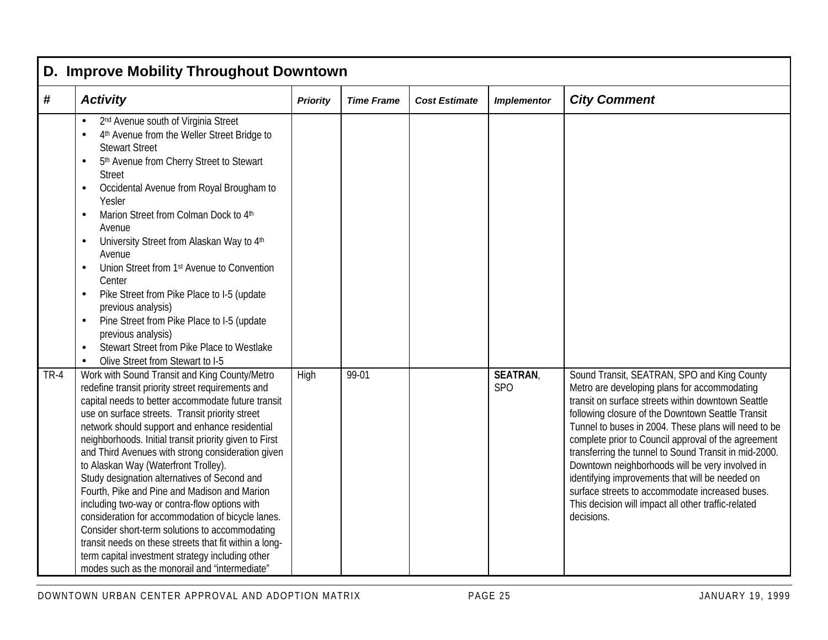|      | D. Improve Mobility Throughout Downtown                                                                                                                                                                                                                                                                                                                                                                                                                                                                                                                                                                                                                                                                                                                                                                                                     |                 |                   |                      |                                   |                                                                                                                                                                                                                                                                                                                                                                                                                                                                                                                                                                                                              |  |  |  |
|------|---------------------------------------------------------------------------------------------------------------------------------------------------------------------------------------------------------------------------------------------------------------------------------------------------------------------------------------------------------------------------------------------------------------------------------------------------------------------------------------------------------------------------------------------------------------------------------------------------------------------------------------------------------------------------------------------------------------------------------------------------------------------------------------------------------------------------------------------|-----------------|-------------------|----------------------|-----------------------------------|--------------------------------------------------------------------------------------------------------------------------------------------------------------------------------------------------------------------------------------------------------------------------------------------------------------------------------------------------------------------------------------------------------------------------------------------------------------------------------------------------------------------------------------------------------------------------------------------------------------|--|--|--|
| #    | <b>Activity</b>                                                                                                                                                                                                                                                                                                                                                                                                                                                                                                                                                                                                                                                                                                                                                                                                                             | <b>Priority</b> | <b>Time Frame</b> | <b>Cost Estimate</b> | <b>Implementor</b>                | <b>City Comment</b>                                                                                                                                                                                                                                                                                                                                                                                                                                                                                                                                                                                          |  |  |  |
|      | 2 <sup>nd</sup> Avenue south of Virginia Street<br>$\bullet$<br>4th Avenue from the Weller Street Bridge to<br>$\bullet$<br><b>Stewart Street</b><br>5th Avenue from Cherry Street to Stewart<br>$\bullet$<br><b>Street</b><br>Occidental Avenue from Royal Brougham to<br>$\bullet$<br>Yesler<br>Marion Street from Colman Dock to 4th<br>$\bullet$<br>Avenue<br>University Street from Alaskan Way to 4th<br>$\bullet$<br>Avenue<br>Union Street from 1st Avenue to Convention<br>$\bullet$<br>Center<br>Pike Street from Pike Place to I-5 (update<br>$\bullet$<br>previous analysis)<br>Pine Street from Pike Place to I-5 (update<br>$\bullet$<br>previous analysis)<br>Stewart Street from Pike Place to Westlake<br>$\bullet$<br>Olive Street from Stewart to I-5<br>$\bullet$                                                       |                 |                   |                      |                                   |                                                                                                                                                                                                                                                                                                                                                                                                                                                                                                                                                                                                              |  |  |  |
| TR-4 | Work with Sound Transit and King County/Metro<br>redefine transit priority street requirements and<br>capital needs to better accommodate future transit<br>use on surface streets. Transit priority street<br>network should support and enhance residential<br>neighborhoods. Initial transit priority given to First<br>and Third Avenues with strong consideration given<br>to Alaskan Way (Waterfront Trolley).<br>Study designation alternatives of Second and<br>Fourth, Pike and Pine and Madison and Marion<br>including two-way or contra-flow options with<br>consideration for accommodation of bicycle lanes.<br>Consider short-term solutions to accommodating<br>transit needs on these streets that fit within a long-<br>term capital investment strategy including other<br>modes such as the monorail and "intermediate" | High            | 99-01             |                      | <b>SEATRAN</b><br>SP <sub>O</sub> | Sound Transit, SEATRAN, SPO and King County<br>Metro are developing plans for accommodating<br>transit on surface streets within downtown Seattle<br>following closure of the Downtown Seattle Transit<br>Tunnel to buses in 2004. These plans will need to be<br>complete prior to Council approval of the agreement<br>transferring the tunnel to Sound Transit in mid-2000.<br>Downtown neighborhoods will be very involved in<br>identifying improvements that will be needed on<br>surface streets to accommodate increased buses.<br>This decision will impact all other traffic-related<br>decisions. |  |  |  |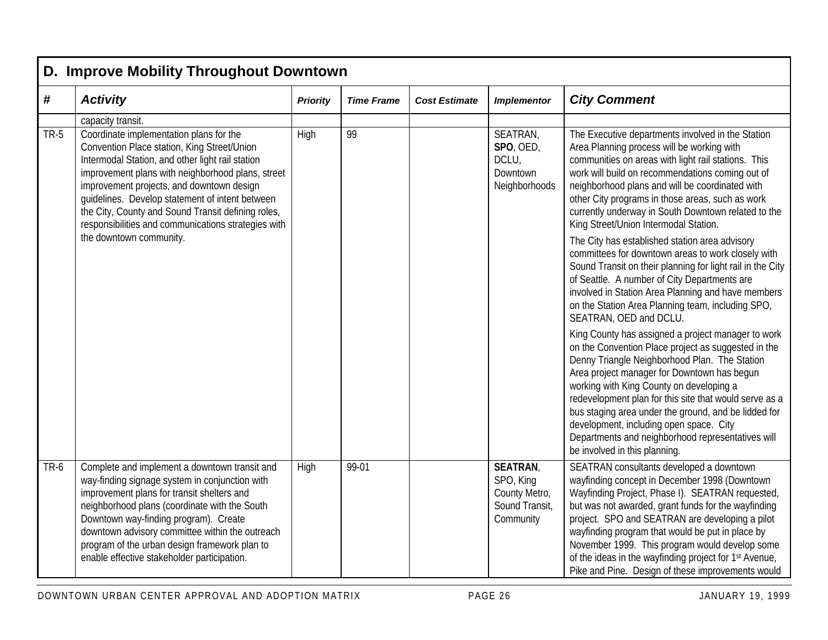|                   | D. Improve Mobility Throughout Downtown                                                                                                                                                                                                                                                                                                                                                                                                                      |                 |                   |                      |                                                                             |                                                                                                                                                                                                                                                                                                                                                                                                                                                                                                                                                                                                                                                                                                                                                                                                                                                                                                                                                                                                                                                                                                                                                                                                                                                                                          |  |  |
|-------------------|--------------------------------------------------------------------------------------------------------------------------------------------------------------------------------------------------------------------------------------------------------------------------------------------------------------------------------------------------------------------------------------------------------------------------------------------------------------|-----------------|-------------------|----------------------|-----------------------------------------------------------------------------|------------------------------------------------------------------------------------------------------------------------------------------------------------------------------------------------------------------------------------------------------------------------------------------------------------------------------------------------------------------------------------------------------------------------------------------------------------------------------------------------------------------------------------------------------------------------------------------------------------------------------------------------------------------------------------------------------------------------------------------------------------------------------------------------------------------------------------------------------------------------------------------------------------------------------------------------------------------------------------------------------------------------------------------------------------------------------------------------------------------------------------------------------------------------------------------------------------------------------------------------------------------------------------------|--|--|
| $\boldsymbol{\#}$ | <b>Activity</b>                                                                                                                                                                                                                                                                                                                                                                                                                                              | <b>Priority</b> | <b>Time Frame</b> | <b>Cost Estimate</b> | <b>Implementor</b>                                                          | <b>City Comment</b>                                                                                                                                                                                                                                                                                                                                                                                                                                                                                                                                                                                                                                                                                                                                                                                                                                                                                                                                                                                                                                                                                                                                                                                                                                                                      |  |  |
| TR-5              | capacity transit.<br>Coordinate implementation plans for the<br>Convention Place station, King Street/Union<br>Intermodal Station, and other light rail station<br>improvement plans with neighborhood plans, street<br>improvement projects, and downtown design<br>quidelines. Develop statement of intent between<br>the City, County and Sound Transit defining roles,<br>responsibilities and communications strategies with<br>the downtown community. | High            | 99                |                      | SEATRAN,<br>SPO, OED,<br>DCLU,<br>Downtown<br>Neighborhoods                 | The Executive departments involved in the Station<br>Area Planning process will be working with<br>communities on areas with light rail stations. This<br>work will build on recommendations coming out of<br>neighborhood plans and will be coordinated with<br>other City programs in those areas, such as work<br>currently underway in South Downtown related to the<br>King Street/Union Intermodal Station.<br>The City has established station area advisory<br>committees for downtown areas to work closely with<br>Sound Transit on their planning for light rail in the City<br>of Seattle. A number of City Departments are<br>involved in Station Area Planning and have members<br>on the Station Area Planning team, including SPO,<br>SEATRAN, OED and DCLU.<br>King County has assigned a project manager to work<br>on the Convention Place project as suggested in the<br>Denny Triangle Neighborhood Plan. The Station<br>Area project manager for Downtown has begun<br>working with King County on developing a<br>redevelopment plan for this site that would serve as a<br>bus staging area under the ground, and be lidded for<br>development, including open space. City<br>Departments and neighborhood representatives will<br>be involved in this planning. |  |  |
| TR-6              | Complete and implement a downtown transit and<br>way-finding signage system in conjunction with<br>improvement plans for transit shelters and<br>neighborhood plans (coordinate with the South<br>Downtown way-finding program). Create<br>downtown advisory committee within the outreach<br>program of the urban design framework plan to<br>enable effective stakeholder participation.                                                                   | High            | 99-01             |                      | <b>SEATRAN</b><br>SPO, King<br>County Metro,<br>Sound Transit,<br>Community | SEATRAN consultants developed a downtown<br>wayfinding concept in December 1998 (Downtown<br>Wayfinding Project, Phase I). SEATRAN requested,<br>but was not awarded, grant funds for the wayfinding<br>project. SPO and SEATRAN are developing a pilot<br>wayfinding program that would be put in place by<br>November 1999. This program would develop some<br>of the ideas in the wayfinding project for 1 <sup>st</sup> Avenue,<br>Pike and Pine. Design of these improvements would                                                                                                                                                                                                                                                                                                                                                                                                                                                                                                                                                                                                                                                                                                                                                                                                 |  |  |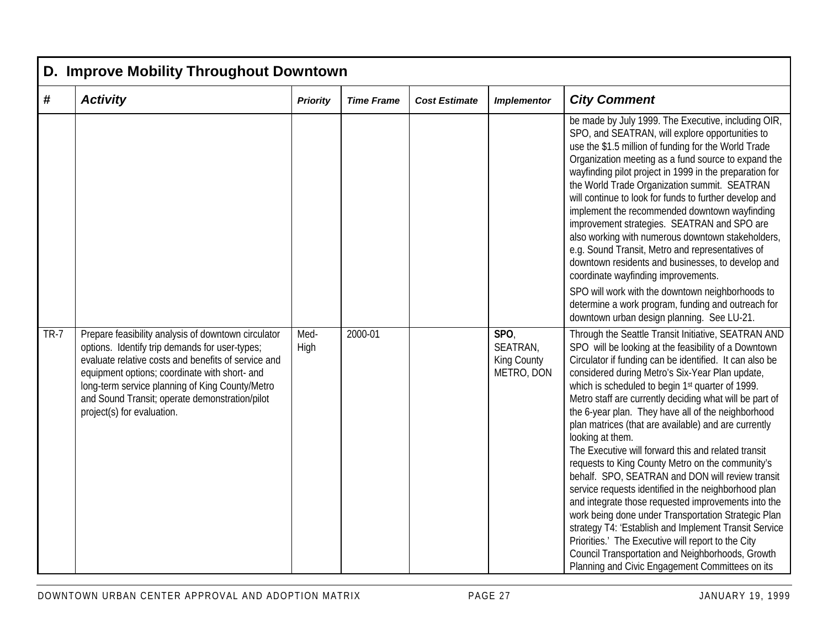|             | D. Improve Mobility Throughout Downtown                                                                                                                                                                                                                                                                                                          |                 |                   |                      |                                                     |                                                                                                                                                                                                                                                                                                                                                                                                                                                                                                                                                                                                                                                                                                                                                                                                                                                                                                                                                                                                                                       |  |  |  |
|-------------|--------------------------------------------------------------------------------------------------------------------------------------------------------------------------------------------------------------------------------------------------------------------------------------------------------------------------------------------------|-----------------|-------------------|----------------------|-----------------------------------------------------|---------------------------------------------------------------------------------------------------------------------------------------------------------------------------------------------------------------------------------------------------------------------------------------------------------------------------------------------------------------------------------------------------------------------------------------------------------------------------------------------------------------------------------------------------------------------------------------------------------------------------------------------------------------------------------------------------------------------------------------------------------------------------------------------------------------------------------------------------------------------------------------------------------------------------------------------------------------------------------------------------------------------------------------|--|--|--|
| #           | <b>Activity</b>                                                                                                                                                                                                                                                                                                                                  | <b>Priority</b> | <b>Time Frame</b> | <b>Cost Estimate</b> | <b>Implementor</b>                                  | <b>City Comment</b>                                                                                                                                                                                                                                                                                                                                                                                                                                                                                                                                                                                                                                                                                                                                                                                                                                                                                                                                                                                                                   |  |  |  |
|             |                                                                                                                                                                                                                                                                                                                                                  |                 |                   |                      |                                                     | be made by July 1999. The Executive, including OIR,<br>SPO, and SEATRAN, will explore opportunities to<br>use the \$1.5 million of funding for the World Trade<br>Organization meeting as a fund source to expand the<br>wayfinding pilot project in 1999 in the preparation for<br>the World Trade Organization summit. SEATRAN<br>will continue to look for funds to further develop and<br>implement the recommended downtown wayfinding<br>improvement strategies. SEATRAN and SPO are<br>also working with numerous downtown stakeholders,<br>e.g. Sound Transit, Metro and representatives of<br>downtown residents and businesses, to develop and<br>coordinate wayfinding improvements.<br>SPO will work with the downtown neighborhoods to<br>determine a work program, funding and outreach for<br>downtown urban design planning. See LU-21.                                                                                                                                                                               |  |  |  |
| <b>TR-7</b> | Prepare feasibility analysis of downtown circulator<br>options. Identify trip demands for user-types;<br>evaluate relative costs and benefits of service and<br>equipment options; coordinate with short- and<br>long-term service planning of King County/Metro<br>and Sound Transit; operate demonstration/pilot<br>project(s) for evaluation. | Med-<br>High    | 2000-01           |                      | SPO<br>SEATRAN,<br><b>King County</b><br>METRO, DON | Through the Seattle Transit Initiative, SEATRAN AND<br>SPO will be looking at the feasibility of a Downtown<br>Circulator if funding can be identified. It can also be<br>considered during Metro's Six-Year Plan update,<br>which is scheduled to begin 1st quarter of 1999.<br>Metro staff are currently deciding what will be part of<br>the 6-year plan. They have all of the neighborhood<br>plan matrices (that are available) and are currently<br>looking at them.<br>The Executive will forward this and related transit<br>requests to King County Metro on the community's<br>behalf. SPO, SEATRAN and DON will review transit<br>service requests identified in the neighborhood plan<br>and integrate those requested improvements into the<br>work being done under Transportation Strategic Plan<br>strategy T4: 'Establish and Implement Transit Service<br>Priorities.' The Executive will report to the City<br>Council Transportation and Neighborhoods, Growth<br>Planning and Civic Engagement Committees on its |  |  |  |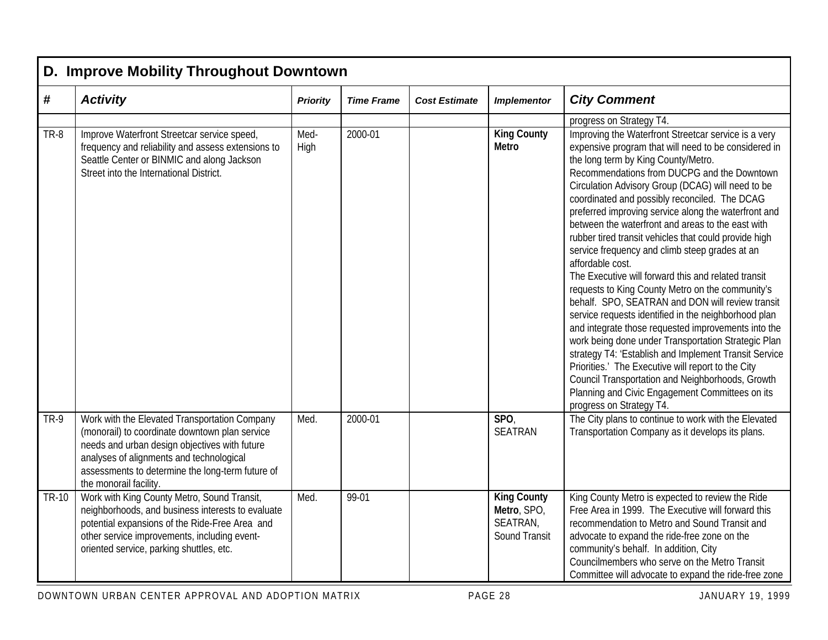|       | D. Improve Mobility Throughout Downtown                                                                                                                                                                                                                                    |                 |                   |                      |                                                                |                                                                                                                                                                                                                                                                                                                                                                                                                                                                                                                                                                                                                                                                                                                                                                                                                                                                                                                                                                                                                                                                                                                                             |  |  |  |
|-------|----------------------------------------------------------------------------------------------------------------------------------------------------------------------------------------------------------------------------------------------------------------------------|-----------------|-------------------|----------------------|----------------------------------------------------------------|---------------------------------------------------------------------------------------------------------------------------------------------------------------------------------------------------------------------------------------------------------------------------------------------------------------------------------------------------------------------------------------------------------------------------------------------------------------------------------------------------------------------------------------------------------------------------------------------------------------------------------------------------------------------------------------------------------------------------------------------------------------------------------------------------------------------------------------------------------------------------------------------------------------------------------------------------------------------------------------------------------------------------------------------------------------------------------------------------------------------------------------------|--|--|--|
| #     | <b>Activity</b>                                                                                                                                                                                                                                                            | <b>Priority</b> | <b>Time Frame</b> | <b>Cost Estimate</b> | <b>Implementor</b>                                             | <b>City Comment</b>                                                                                                                                                                                                                                                                                                                                                                                                                                                                                                                                                                                                                                                                                                                                                                                                                                                                                                                                                                                                                                                                                                                         |  |  |  |
|       |                                                                                                                                                                                                                                                                            |                 |                   |                      |                                                                | progress on Strategy T4.                                                                                                                                                                                                                                                                                                                                                                                                                                                                                                                                                                                                                                                                                                                                                                                                                                                                                                                                                                                                                                                                                                                    |  |  |  |
| TR-8  | Improve Waterfront Streetcar service speed,<br>frequency and reliability and assess extensions to<br>Seattle Center or BINMIC and along Jackson<br>Street into the International District.                                                                                 | Med-<br>High    | 2000-01           |                      | <b>King County</b><br><b>Metro</b>                             | Improving the Waterfront Streetcar service is a very<br>expensive program that will need to be considered in<br>the long term by King County/Metro.<br>Recommendations from DUCPG and the Downtown<br>Circulation Advisory Group (DCAG) will need to be<br>coordinated and possibly reconciled. The DCAG<br>preferred improving service along the waterfront and<br>between the waterfront and areas to the east with<br>rubber tired transit vehicles that could provide high<br>service frequency and climb steep grades at an<br>affordable cost.<br>The Executive will forward this and related transit<br>requests to King County Metro on the community's<br>behalf. SPO, SEATRAN and DON will review transit<br>service requests identified in the neighborhood plan<br>and integrate those requested improvements into the<br>work being done under Transportation Strategic Plan<br>strategy T4: 'Establish and Implement Transit Service<br>Priorities.' The Executive will report to the City<br>Council Transportation and Neighborhoods, Growth<br>Planning and Civic Engagement Committees on its<br>progress on Strategy T4. |  |  |  |
| TR-9  | Work with the Elevated Transportation Company<br>(monorail) to coordinate downtown plan service<br>needs and urban design objectives with future<br>analyses of alignments and technological<br>assessments to determine the long-term future of<br>the monorail facility. | Med.            | 2000-01           |                      | SPO <sub>1</sub><br><b>SEATRAN</b>                             | The City plans to continue to work with the Elevated<br>Transportation Company as it develops its plans.                                                                                                                                                                                                                                                                                                                                                                                                                                                                                                                                                                                                                                                                                                                                                                                                                                                                                                                                                                                                                                    |  |  |  |
| TR-10 | Work with King County Metro, Sound Transit,<br>neighborhoods, and business interests to evaluate<br>potential expansions of the Ride-Free Area and<br>other service improvements, including event-<br>oriented service, parking shuttles, etc.                             | Med.            | 99-01             |                      | <b>King County</b><br>Metro, SPO,<br>SEATRAN,<br>Sound Transit | King County Metro is expected to review the Ride<br>Free Area in 1999. The Executive will forward this<br>recommendation to Metro and Sound Transit and<br>advocate to expand the ride-free zone on the<br>community's behalf. In addition, City<br>Councilmembers who serve on the Metro Transit<br>Committee will advocate to expand the ride-free zone                                                                                                                                                                                                                                                                                                                                                                                                                                                                                                                                                                                                                                                                                                                                                                                   |  |  |  |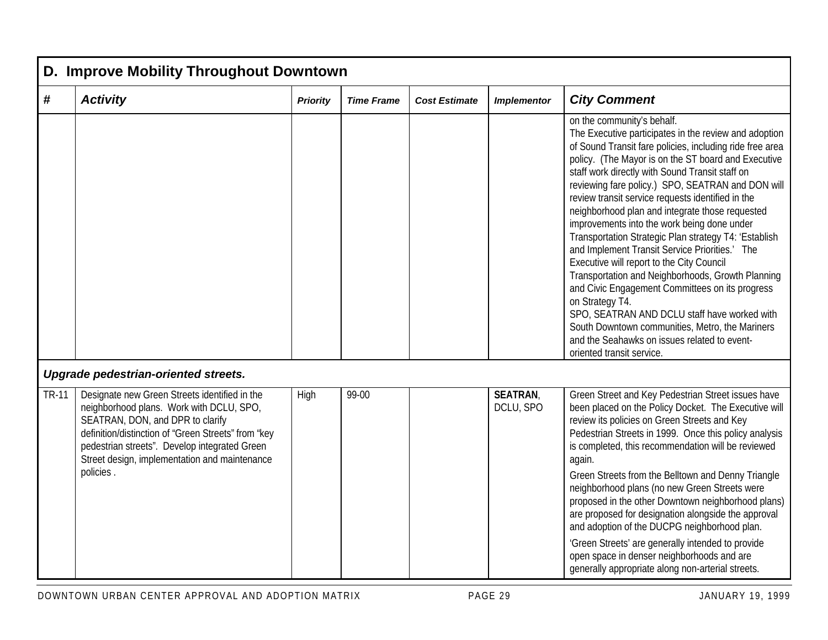|       | D. Improve Mobility Throughout Downtown                                                                                                                                                                                                                                                             |                 |                   |                      |                              |                                                                                                                                                                                                                                                                                                                                                                                                                                                                                                                                                                                                                                                                                                                                                                                                                                                                                                                                          |  |  |  |
|-------|-----------------------------------------------------------------------------------------------------------------------------------------------------------------------------------------------------------------------------------------------------------------------------------------------------|-----------------|-------------------|----------------------|------------------------------|------------------------------------------------------------------------------------------------------------------------------------------------------------------------------------------------------------------------------------------------------------------------------------------------------------------------------------------------------------------------------------------------------------------------------------------------------------------------------------------------------------------------------------------------------------------------------------------------------------------------------------------------------------------------------------------------------------------------------------------------------------------------------------------------------------------------------------------------------------------------------------------------------------------------------------------|--|--|--|
| #     | <b>Activity</b>                                                                                                                                                                                                                                                                                     | <b>Priority</b> | <b>Time Frame</b> | <b>Cost Estimate</b> | <b>Implementor</b>           | <b>City Comment</b>                                                                                                                                                                                                                                                                                                                                                                                                                                                                                                                                                                                                                                                                                                                                                                                                                                                                                                                      |  |  |  |
|       |                                                                                                                                                                                                                                                                                                     |                 |                   |                      |                              | on the community's behalf.<br>The Executive participates in the review and adoption<br>of Sound Transit fare policies, including ride free area<br>policy. (The Mayor is on the ST board and Executive<br>staff work directly with Sound Transit staff on<br>reviewing fare policy.) SPO, SEATRAN and DON will<br>review transit service requests identified in the<br>neighborhood plan and integrate those requested<br>improvements into the work being done under<br>Transportation Strategic Plan strategy T4: 'Establish<br>and Implement Transit Service Priorities.' The<br>Executive will report to the City Council<br>Transportation and Neighborhoods, Growth Planning<br>and Civic Engagement Committees on its progress<br>on Strategy T4.<br>SPO, SEATRAN AND DCLU staff have worked with<br>South Downtown communities, Metro, the Mariners<br>and the Seahawks on issues related to event-<br>oriented transit service. |  |  |  |
|       | Upgrade pedestrian-oriented streets.                                                                                                                                                                                                                                                                |                 |                   |                      |                              |                                                                                                                                                                                                                                                                                                                                                                                                                                                                                                                                                                                                                                                                                                                                                                                                                                                                                                                                          |  |  |  |
| TR-11 | Designate new Green Streets identified in the<br>neighborhood plans. Work with DCLU, SPO,<br>SEATRAN, DON, and DPR to clarify<br>definition/distinction of "Green Streets" from "key<br>pedestrian streets". Develop integrated Green<br>Street design, implementation and maintenance<br>policies. | High            | 99-00             |                      | <b>SEATRAN,</b><br>DCLU, SPO | Green Street and Key Pedestrian Street issues have<br>been placed on the Policy Docket. The Executive will<br>review its policies on Green Streets and Key<br>Pedestrian Streets in 1999. Once this policy analysis<br>is completed, this recommendation will be reviewed<br>again.<br>Green Streets from the Belltown and Denny Triangle<br>neighborhood plans (no new Green Streets were<br>proposed in the other Downtown neighborhood plans)<br>are proposed for designation alongside the approval<br>and adoption of the DUCPG neighborhood plan.<br>'Green Streets' are generally intended to provide<br>open space in denser neighborhoods and are<br>generally appropriate along non-arterial streets.                                                                                                                                                                                                                          |  |  |  |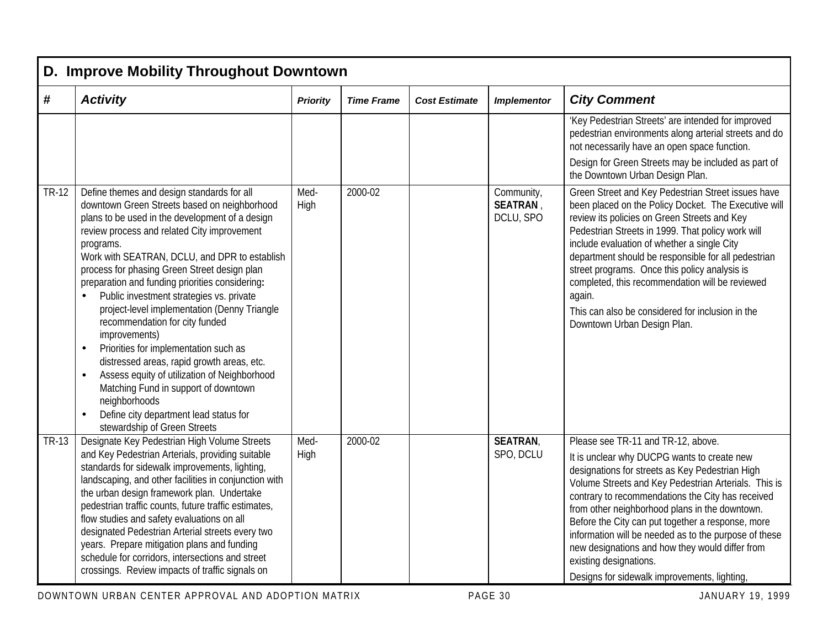|                   | D. Improve Mobility Throughout Downtown                                                                                                                                                                                                                                                                                                                                                                                                                                                                                                                                                                                                                                                                                                                                                                          |                 |                   |                      |                                     |                                                                                                                                                                                                                                                                                                                                                                                                                                                                                                                                                |  |  |  |  |  |
|-------------------|------------------------------------------------------------------------------------------------------------------------------------------------------------------------------------------------------------------------------------------------------------------------------------------------------------------------------------------------------------------------------------------------------------------------------------------------------------------------------------------------------------------------------------------------------------------------------------------------------------------------------------------------------------------------------------------------------------------------------------------------------------------------------------------------------------------|-----------------|-------------------|----------------------|-------------------------------------|------------------------------------------------------------------------------------------------------------------------------------------------------------------------------------------------------------------------------------------------------------------------------------------------------------------------------------------------------------------------------------------------------------------------------------------------------------------------------------------------------------------------------------------------|--|--|--|--|--|
| $\boldsymbol{\#}$ | <b>Activity</b>                                                                                                                                                                                                                                                                                                                                                                                                                                                                                                                                                                                                                                                                                                                                                                                                  | <b>Priority</b> | <b>Time Frame</b> | <b>Cost Estimate</b> | <b>Implementor</b>                  | <b>City Comment</b>                                                                                                                                                                                                                                                                                                                                                                                                                                                                                                                            |  |  |  |  |  |
|                   |                                                                                                                                                                                                                                                                                                                                                                                                                                                                                                                                                                                                                                                                                                                                                                                                                  |                 |                   |                      |                                     | 'Key Pedestrian Streets' are intended for improved<br>pedestrian environments along arterial streets and do<br>not necessarily have an open space function.                                                                                                                                                                                                                                                                                                                                                                                    |  |  |  |  |  |
|                   |                                                                                                                                                                                                                                                                                                                                                                                                                                                                                                                                                                                                                                                                                                                                                                                                                  |                 |                   |                      |                                     | Design for Green Streets may be included as part of<br>the Downtown Urban Design Plan.                                                                                                                                                                                                                                                                                                                                                                                                                                                         |  |  |  |  |  |
| TR-12             | Define themes and design standards for all<br>downtown Green Streets based on neighborhood<br>plans to be used in the development of a design<br>review process and related City improvement<br>programs.<br>Work with SEATRAN, DCLU, and DPR to establish<br>process for phasing Green Street design plan<br>preparation and funding priorities considering:<br>Public investment strategies vs. private<br>project-level implementation (Denny Triangle<br>recommendation for city funded<br>improvements)<br>Priorities for implementation such as<br>$\bullet$<br>distressed areas, rapid growth areas, etc.<br>Assess equity of utilization of Neighborhood<br>$\bullet$<br>Matching Fund in support of downtown<br>neighborhoods<br>Define city department lead status for<br>stewardship of Green Streets | Med-<br>High    | 2000-02           |                      | Community,<br>SEATRAN,<br>DCLU, SPO | Green Street and Key Pedestrian Street issues have<br>been placed on the Policy Docket. The Executive will<br>review its policies on Green Streets and Key<br>Pedestrian Streets in 1999. That policy work will<br>include evaluation of whether a single City<br>department should be responsible for all pedestrian<br>street programs. Once this policy analysis is<br>completed, this recommendation will be reviewed<br>again.<br>This can also be considered for inclusion in the<br>Downtown Urban Design Plan.                         |  |  |  |  |  |
| TR-13             | Designate Key Pedestrian High Volume Streets<br>and Key Pedestrian Arterials, providing suitable<br>standards for sidewalk improvements, lighting,<br>landscaping, and other facilities in conjunction with<br>the urban design framework plan. Undertake<br>pedestrian traffic counts, future traffic estimates,<br>flow studies and safety evaluations on all<br>designated Pedestrian Arterial streets every two<br>years. Prepare mitigation plans and funding<br>schedule for corridors, intersections and street<br>crossings. Review impacts of traffic signals on                                                                                                                                                                                                                                        | Med-<br>High    | 2000-02           |                      | <b>SEATRAN</b><br>SPO, DCLU         | Please see TR-11 and TR-12, above.<br>It is unclear why DUCPG wants to create new<br>designations for streets as Key Pedestrian High<br>Volume Streets and Key Pedestrian Arterials. This is<br>contrary to recommendations the City has received<br>from other neighborhood plans in the downtown.<br>Before the City can put together a response, more<br>information will be needed as to the purpose of these<br>new designations and how they would differ from<br>existing designations.<br>Designs for sidewalk improvements, lighting, |  |  |  |  |  |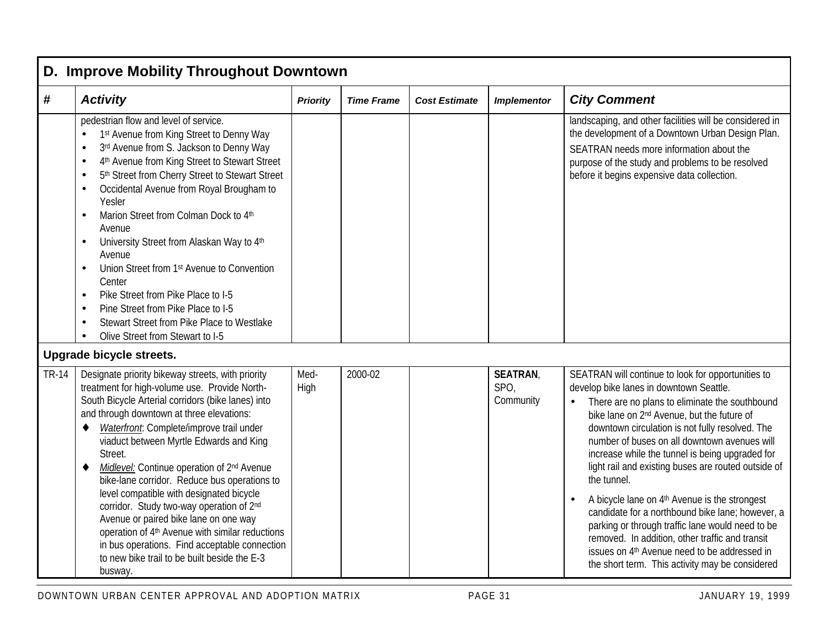|              | D. Improve Mobility Throughout Downtown                                                                                                                                                                                                                                                                                                                                                                                                                                                                                                                                                                                                                                                                                                                              |              |                   |                      |                                      |                                                                                                                                                                                                                                                                                                                                                                                                                                                                                                                                                                                                                                                                                                                                                                              |  |  |  |  |  |
|--------------|----------------------------------------------------------------------------------------------------------------------------------------------------------------------------------------------------------------------------------------------------------------------------------------------------------------------------------------------------------------------------------------------------------------------------------------------------------------------------------------------------------------------------------------------------------------------------------------------------------------------------------------------------------------------------------------------------------------------------------------------------------------------|--------------|-------------------|----------------------|--------------------------------------|------------------------------------------------------------------------------------------------------------------------------------------------------------------------------------------------------------------------------------------------------------------------------------------------------------------------------------------------------------------------------------------------------------------------------------------------------------------------------------------------------------------------------------------------------------------------------------------------------------------------------------------------------------------------------------------------------------------------------------------------------------------------------|--|--|--|--|--|
| #            | <b>Activity</b>                                                                                                                                                                                                                                                                                                                                                                                                                                                                                                                                                                                                                                                                                                                                                      | Priority     | <b>Time Frame</b> | <b>Cost Estimate</b> | <b>Implementor</b>                   | <b>City Comment</b>                                                                                                                                                                                                                                                                                                                                                                                                                                                                                                                                                                                                                                                                                                                                                          |  |  |  |  |  |
|              | pedestrian flow and level of service.<br>1st Avenue from King Street to Denny Way<br>3rd Avenue from S. Jackson to Denny Way<br>$\bullet$<br>4th Avenue from King Street to Stewart Street<br>$\bullet$<br>5th Street from Cherry Street to Stewart Street<br>$\bullet$<br>Occidental Avenue from Royal Brougham to<br>$\bullet$<br>Yesler<br>Marion Street from Colman Dock to 4th<br>$\bullet$<br>Avenue<br>University Street from Alaskan Way to 4th<br>$\bullet$<br>Avenue<br>Union Street from 1 <sup>st</sup> Avenue to Convention<br>$\bullet$<br>Center<br>Pike Street from Pike Place to I-5<br>$\bullet$<br>Pine Street from Pike Place to I-5<br>$\bullet$<br>Stewart Street from Pike Place to Westlake<br>Olive Street from Stewart to I-5<br>$\bullet$ |              |                   |                      |                                      | landscaping, and other facilities will be considered in<br>the development of a Downtown Urban Design Plan.<br>SEATRAN needs more information about the<br>purpose of the study and problems to be resolved<br>before it begins expensive data collection.                                                                                                                                                                                                                                                                                                                                                                                                                                                                                                                   |  |  |  |  |  |
|              | Upgrade bicycle streets.                                                                                                                                                                                                                                                                                                                                                                                                                                                                                                                                                                                                                                                                                                                                             |              |                   |                      |                                      |                                                                                                                                                                                                                                                                                                                                                                                                                                                                                                                                                                                                                                                                                                                                                                              |  |  |  |  |  |
| <b>TR-14</b> | Designate priority bikeway streets, with priority<br>treatment for high-volume use. Provide North-<br>South Bicycle Arterial corridors (bike lanes) into<br>and through downtown at three elevations:<br>Waterfront: Complete/improve trail under<br>viaduct between Myrtle Edwards and King<br>Street.<br>Midlevel: Continue operation of 2 <sup>nd</sup> Avenue<br>٠<br>bike-lane corridor. Reduce bus operations to<br>level compatible with designated bicycle<br>corridor. Study two-way operation of 2nd<br>Avenue or paired bike lane on one way<br>operation of 4 <sup>th</sup> Avenue with similar reductions<br>in bus operations. Find acceptable connection<br>to new bike trail to be built beside the E-3<br>busway.                                   | Med-<br>High | 2000-02           |                      | <b>SEATRAN,</b><br>SPO,<br>Community | SEATRAN will continue to look for opportunities to<br>develop bike lanes in downtown Seattle.<br>There are no plans to eliminate the southbound<br>bike lane on 2 <sup>nd</sup> Avenue, but the future of<br>downtown circulation is not fully resolved. The<br>number of buses on all downtown avenues will<br>increase while the tunnel is being upgraded for<br>light rail and existing buses are routed outside of<br>the tunnel.<br>A bicycle lane on 4 <sup>th</sup> Avenue is the strongest<br>candidate for a northbound bike lane; however, a<br>parking or through traffic lane would need to be<br>removed. In addition, other traffic and transit<br>issues on 4 <sup>th</sup> Avenue need to be addressed in<br>the short term. This activity may be considered |  |  |  |  |  |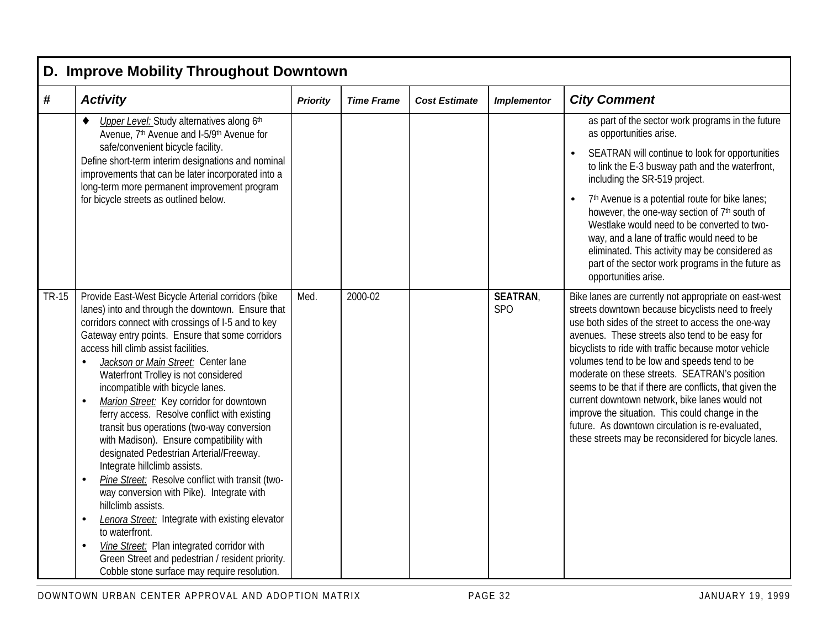|              | D. Improve Mobility Throughout Downtown                                                                                                                                                                                                                                                                                                                                                                                                                                                                                                                                                                                                                                                                                                                                                                                                                                                                                                                                                                                                                      |                 |                   |                      |                                    |                                                                                                                                                                                                                                                                                                                                                                                                                                                                                                                                                                                                                                                            |  |  |  |  |  |
|--------------|--------------------------------------------------------------------------------------------------------------------------------------------------------------------------------------------------------------------------------------------------------------------------------------------------------------------------------------------------------------------------------------------------------------------------------------------------------------------------------------------------------------------------------------------------------------------------------------------------------------------------------------------------------------------------------------------------------------------------------------------------------------------------------------------------------------------------------------------------------------------------------------------------------------------------------------------------------------------------------------------------------------------------------------------------------------|-----------------|-------------------|----------------------|------------------------------------|------------------------------------------------------------------------------------------------------------------------------------------------------------------------------------------------------------------------------------------------------------------------------------------------------------------------------------------------------------------------------------------------------------------------------------------------------------------------------------------------------------------------------------------------------------------------------------------------------------------------------------------------------------|--|--|--|--|--|
| #            | <b>Activity</b>                                                                                                                                                                                                                                                                                                                                                                                                                                                                                                                                                                                                                                                                                                                                                                                                                                                                                                                                                                                                                                              | <b>Priority</b> | <b>Time Frame</b> | <b>Cost Estimate</b> | <b>Implementor</b>                 | <b>City Comment</b>                                                                                                                                                                                                                                                                                                                                                                                                                                                                                                                                                                                                                                        |  |  |  |  |  |
|              | Upper Level: Study alternatives along 6th<br>Avenue, 7th Avenue and I-5/9th Avenue for                                                                                                                                                                                                                                                                                                                                                                                                                                                                                                                                                                                                                                                                                                                                                                                                                                                                                                                                                                       |                 |                   |                      |                                    | as part of the sector work programs in the future<br>as opportunities arise.                                                                                                                                                                                                                                                                                                                                                                                                                                                                                                                                                                               |  |  |  |  |  |
|              | safe/convenient bicycle facility.<br>Define short-term interim designations and nominal<br>improvements that can be later incorporated into a<br>long-term more permanent improvement program                                                                                                                                                                                                                                                                                                                                                                                                                                                                                                                                                                                                                                                                                                                                                                                                                                                                |                 |                   |                      |                                    | SEATRAN will continue to look for opportunities<br>to link the E-3 busway path and the waterfront,<br>including the SR-519 project.                                                                                                                                                                                                                                                                                                                                                                                                                                                                                                                        |  |  |  |  |  |
|              | for bicycle streets as outlined below.                                                                                                                                                                                                                                                                                                                                                                                                                                                                                                                                                                                                                                                                                                                                                                                                                                                                                                                                                                                                                       |                 |                   |                      |                                    | 7th Avenue is a potential route for bike lanes;<br>however, the one-way section of 7th south of<br>Westlake would need to be converted to two-<br>way, and a lane of traffic would need to be<br>eliminated. This activity may be considered as<br>part of the sector work programs in the future as<br>opportunities arise.                                                                                                                                                                                                                                                                                                                               |  |  |  |  |  |
| <b>TR-15</b> | Provide East-West Bicycle Arterial corridors (bike<br>lanes) into and through the downtown. Ensure that<br>corridors connect with crossings of I-5 and to key<br>Gateway entry points. Ensure that some corridors<br>access hill climb assist facilities.<br>Jackson or Main Street: Center lane<br>$\bullet$<br>Waterfront Trolley is not considered<br>incompatible with bicycle lanes.<br>Marion Street: Key corridor for downtown<br>$\bullet$<br>ferry access. Resolve conflict with existing<br>transit bus operations (two-way conversion<br>with Madison). Ensure compatibility with<br>designated Pedestrian Arterial/Freeway.<br>Integrate hillclimb assists.<br>Pine Street: Resolve conflict with transit (two-<br>$\bullet$<br>way conversion with Pike). Integrate with<br>hillclimb assists.<br>Lenora Street: Integrate with existing elevator<br>$\bullet$<br>to waterfront.<br>Vine Street: Plan integrated corridor with<br>$\bullet$<br>Green Street and pedestrian / resident priority.<br>Cobble stone surface may require resolution. | Med.            | 2000-02           |                      | <b>SEATRAN,</b><br>SP <sub>O</sub> | Bike lanes are currently not appropriate on east-west<br>streets downtown because bicyclists need to freely<br>use both sides of the street to access the one-way<br>avenues. These streets also tend to be easy for<br>bicyclists to ride with traffic because motor vehicle<br>volumes tend to be low and speeds tend to be<br>moderate on these streets. SEATRAN's position<br>seems to be that if there are conflicts, that given the<br>current downtown network, bike lanes would not<br>improve the situation. This could change in the<br>future. As downtown circulation is re-evaluated,<br>these streets may be reconsidered for bicycle lanes. |  |  |  |  |  |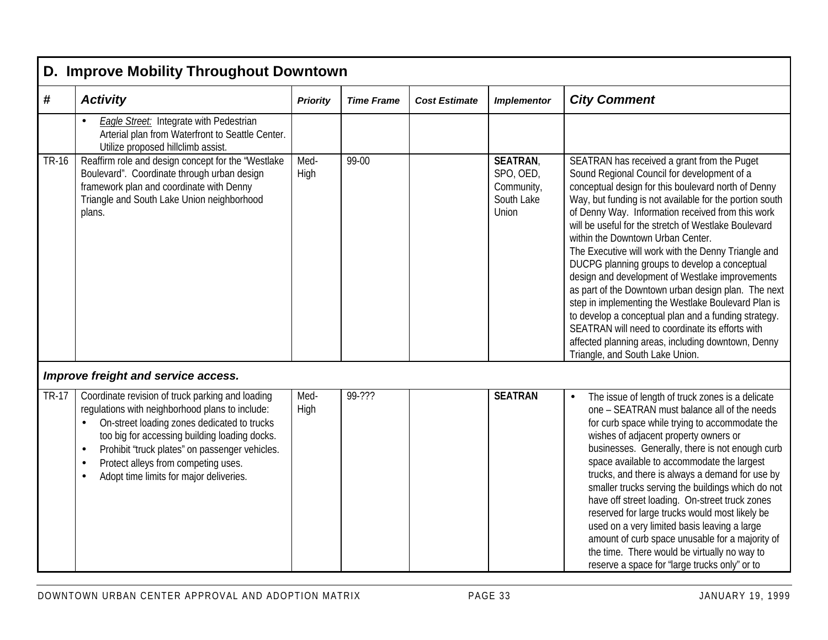|              | D. Improve Mobility Throughout Downtown                                                                                                                                                                                                                                                                                                                           |                 |                   |                      |                                                                   |                                                                                                                                                                                                                                                                                                                                                                                                                                                                                                                                                                                                                                                                                                                                                                                                                                              |  |  |  |
|--------------|-------------------------------------------------------------------------------------------------------------------------------------------------------------------------------------------------------------------------------------------------------------------------------------------------------------------------------------------------------------------|-----------------|-------------------|----------------------|-------------------------------------------------------------------|----------------------------------------------------------------------------------------------------------------------------------------------------------------------------------------------------------------------------------------------------------------------------------------------------------------------------------------------------------------------------------------------------------------------------------------------------------------------------------------------------------------------------------------------------------------------------------------------------------------------------------------------------------------------------------------------------------------------------------------------------------------------------------------------------------------------------------------------|--|--|--|
| #            | <b>Activity</b>                                                                                                                                                                                                                                                                                                                                                   | <b>Priority</b> | <b>Time Frame</b> | <b>Cost Estimate</b> | <b>Implementor</b>                                                | <b>City Comment</b>                                                                                                                                                                                                                                                                                                                                                                                                                                                                                                                                                                                                                                                                                                                                                                                                                          |  |  |  |
|              | Eagle Street: Integrate with Pedestrian<br>Arterial plan from Waterfront to Seattle Center.<br>Utilize proposed hillclimb assist.                                                                                                                                                                                                                                 |                 |                   |                      |                                                                   |                                                                                                                                                                                                                                                                                                                                                                                                                                                                                                                                                                                                                                                                                                                                                                                                                                              |  |  |  |
| <b>TR-16</b> | Reaffirm role and design concept for the "Westlake<br>Boulevard". Coordinate through urban design<br>framework plan and coordinate with Denny<br>Triangle and South Lake Union neighborhood<br>plans.                                                                                                                                                             | Med-<br>High    | 99-00             |                      | <b>SEATRAN,</b><br>SPO, OED,<br>Community,<br>South Lake<br>Union | SEATRAN has received a grant from the Puget<br>Sound Regional Council for development of a<br>conceptual design for this boulevard north of Denny<br>Way, but funding is not available for the portion south<br>of Denny Way. Information received from this work<br>will be useful for the stretch of Westlake Boulevard<br>within the Downtown Urban Center.<br>The Executive will work with the Denny Triangle and<br>DUCPG planning groups to develop a conceptual<br>design and development of Westlake improvements<br>as part of the Downtown urban design plan. The next<br>step in implementing the Westlake Boulevard Plan is<br>to develop a conceptual plan and a funding strategy.<br>SEATRAN will need to coordinate its efforts with<br>affected planning areas, including downtown, Denny<br>Triangle, and South Lake Union. |  |  |  |
|              | Improve freight and service access.                                                                                                                                                                                                                                                                                                                               |                 |                   |                      |                                                                   |                                                                                                                                                                                                                                                                                                                                                                                                                                                                                                                                                                                                                                                                                                                                                                                                                                              |  |  |  |
| <b>TR-17</b> | Coordinate revision of truck parking and loading<br>regulations with neighborhood plans to include:<br>On-street loading zones dedicated to trucks<br>too big for accessing building loading docks.<br>Prohibit "truck plates" on passenger vehicles.<br>$\bullet$<br>Protect alleys from competing uses.<br>$\bullet$<br>Adopt time limits for major deliveries. | Med-<br>High    | 99-???            |                      | <b>SEATRAN</b>                                                    | The issue of length of truck zones is a delicate<br>one - SEATRAN must balance all of the needs<br>for curb space while trying to accommodate the<br>wishes of adjacent property owners or<br>businesses. Generally, there is not enough curb<br>space available to accommodate the largest<br>trucks, and there is always a demand for use by<br>smaller trucks serving the buildings which do not<br>have off street loading. On-street truck zones<br>reserved for large trucks would most likely be<br>used on a very limited basis leaving a large<br>amount of curb space unusable for a majority of<br>the time. There would be virtually no way to<br>reserve a space for "large trucks only" or to                                                                                                                                  |  |  |  |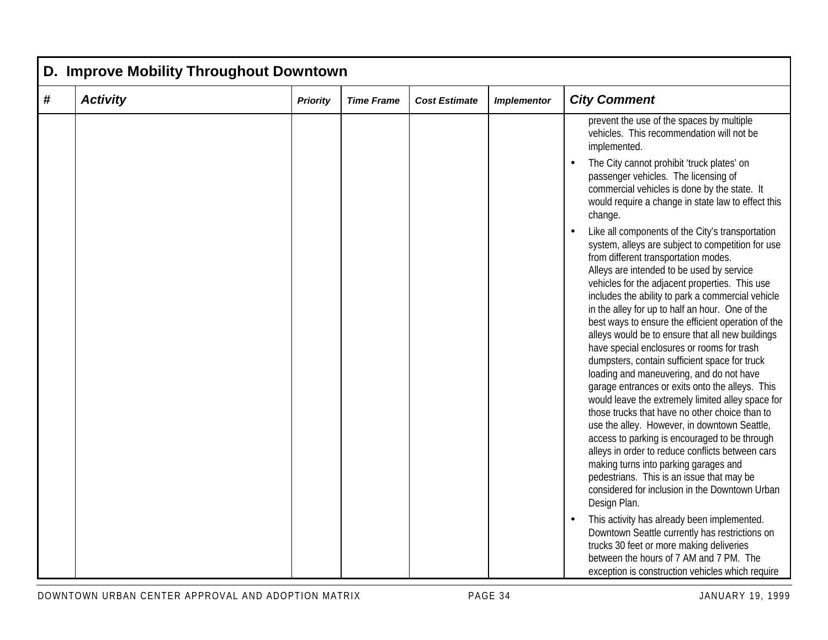|   | D. Improve Mobility Throughout Downtown |                 |                   |                      |                    |                                                                                                                                                                                                                                                                                                                                                                                                                                                                                                                                                                                                                                                                                                                                                                                                                                                                                                                                                                                                                                                                                                                                                                                                                                                                                                                                                                                                                                                                                                                                                                                                                                               |  |  |  |  |  |
|---|-----------------------------------------|-----------------|-------------------|----------------------|--------------------|-----------------------------------------------------------------------------------------------------------------------------------------------------------------------------------------------------------------------------------------------------------------------------------------------------------------------------------------------------------------------------------------------------------------------------------------------------------------------------------------------------------------------------------------------------------------------------------------------------------------------------------------------------------------------------------------------------------------------------------------------------------------------------------------------------------------------------------------------------------------------------------------------------------------------------------------------------------------------------------------------------------------------------------------------------------------------------------------------------------------------------------------------------------------------------------------------------------------------------------------------------------------------------------------------------------------------------------------------------------------------------------------------------------------------------------------------------------------------------------------------------------------------------------------------------------------------------------------------------------------------------------------------|--|--|--|--|--|
| # | <b>Activity</b>                         | <b>Priority</b> | <b>Time Frame</b> | <b>Cost Estimate</b> | <b>Implementor</b> | <b>City Comment</b>                                                                                                                                                                                                                                                                                                                                                                                                                                                                                                                                                                                                                                                                                                                                                                                                                                                                                                                                                                                                                                                                                                                                                                                                                                                                                                                                                                                                                                                                                                                                                                                                                           |  |  |  |  |  |
|   |                                         |                 |                   |                      |                    | prevent the use of the spaces by multiple<br>vehicles. This recommendation will not be<br>implemented.<br>The City cannot prohibit 'truck plates' on<br>passenger vehicles. The licensing of<br>commercial vehicles is done by the state. It<br>would require a change in state law to effect this<br>change.<br>Like all components of the City's transportation<br>system, alleys are subject to competition for use<br>from different transportation modes.<br>Alleys are intended to be used by service<br>vehicles for the adjacent properties. This use<br>includes the ability to park a commercial vehicle<br>in the alley for up to half an hour. One of the<br>best ways to ensure the efficient operation of the<br>alleys would be to ensure that all new buildings<br>have special enclosures or rooms for trash<br>dumpsters, contain sufficient space for truck<br>loading and maneuvering, and do not have<br>garage entrances or exits onto the alleys. This<br>would leave the extremely limited alley space for<br>those trucks that have no other choice than to<br>use the alley. However, in downtown Seattle,<br>access to parking is encouraged to be through<br>alleys in order to reduce conflicts between cars<br>making turns into parking garages and<br>pedestrians. This is an issue that may be<br>considered for inclusion in the Downtown Urban<br>Design Plan.<br>This activity has already been implemented.<br>Downtown Seattle currently has restrictions on<br>trucks 30 feet or more making deliveries<br>between the hours of 7 AM and 7 PM. The<br>exception is construction vehicles which require |  |  |  |  |  |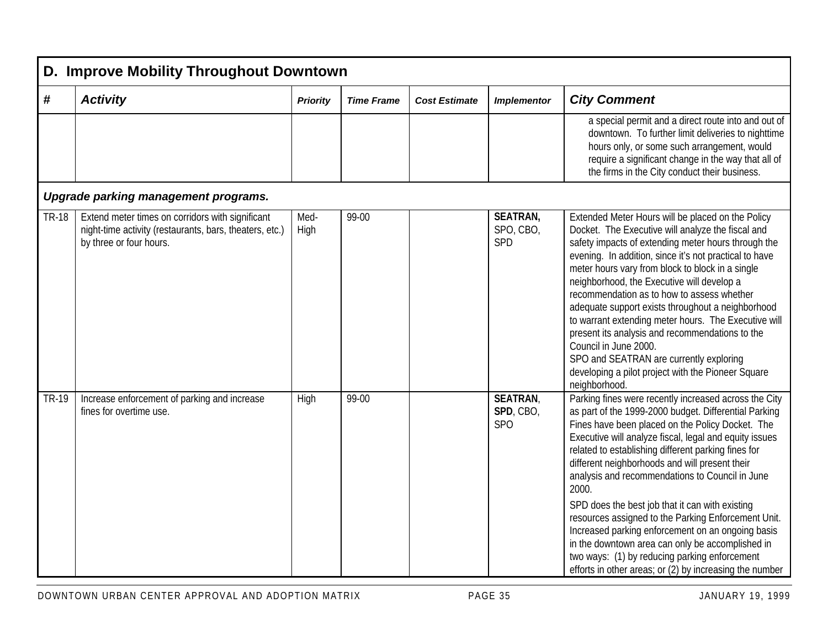|              | D. Improve Mobility Throughout Downtown                                                                                                |                 |                   |                      |                                            |                                                                                                                                                                                                                                                                                                                                                                                                                                                                                                                                                                                                                                                                                                                                  |  |  |  |  |
|--------------|----------------------------------------------------------------------------------------------------------------------------------------|-----------------|-------------------|----------------------|--------------------------------------------|----------------------------------------------------------------------------------------------------------------------------------------------------------------------------------------------------------------------------------------------------------------------------------------------------------------------------------------------------------------------------------------------------------------------------------------------------------------------------------------------------------------------------------------------------------------------------------------------------------------------------------------------------------------------------------------------------------------------------------|--|--|--|--|
| #            | <b>Activity</b>                                                                                                                        | <b>Priority</b> | <b>Time Frame</b> | <b>Cost Estimate</b> | <b>Implementor</b>                         | <b>City Comment</b>                                                                                                                                                                                                                                                                                                                                                                                                                                                                                                                                                                                                                                                                                                              |  |  |  |  |
|              |                                                                                                                                        |                 |                   |                      |                                            | a special permit and a direct route into and out of<br>downtown. To further limit deliveries to nighttime<br>hours only, or some such arrangement, would<br>require a significant change in the way that all of<br>the firms in the City conduct their business.                                                                                                                                                                                                                                                                                                                                                                                                                                                                 |  |  |  |  |
|              | Upgrade parking management programs.                                                                                                   |                 |                   |                      |                                            |                                                                                                                                                                                                                                                                                                                                                                                                                                                                                                                                                                                                                                                                                                                                  |  |  |  |  |
| <b>TR-18</b> | Extend meter times on corridors with significant<br>night-time activity (restaurants, bars, theaters, etc.)<br>by three or four hours. | Med-<br>High    | 99-00             |                      | <b>SEATRAN,</b><br>SPO, CBO,<br><b>SPD</b> | Extended Meter Hours will be placed on the Policy<br>Docket. The Executive will analyze the fiscal and<br>safety impacts of extending meter hours through the<br>evening. In addition, since it's not practical to have<br>meter hours vary from block to block in a single<br>neighborhood, the Executive will develop a<br>recommendation as to how to assess whether<br>adequate support exists throughout a neighborhood<br>to warrant extending meter hours. The Executive will<br>present its analysis and recommendations to the<br>Council in June 2000.<br>SPO and SEATRAN are currently exploring<br>developing a pilot project with the Pioneer Square<br>neighborhood.                                               |  |  |  |  |
| <b>TR-19</b> | Increase enforcement of parking and increase<br>fines for overtime use.                                                                | High            | 99-00             |                      | <b>SEATRAN</b><br>SPD, CBO,<br><b>SPO</b>  | Parking fines were recently increased across the City<br>as part of the 1999-2000 budget. Differential Parking<br>Fines have been placed on the Policy Docket. The<br>Executive will analyze fiscal, legal and equity issues<br>related to establishing different parking fines for<br>different neighborhoods and will present their<br>analysis and recommendations to Council in June<br>2000.<br>SPD does the best job that it can with existing<br>resources assigned to the Parking Enforcement Unit.<br>Increased parking enforcement on an ongoing basis<br>in the downtown area can only be accomplished in<br>two ways: (1) by reducing parking enforcement<br>efforts in other areas; or (2) by increasing the number |  |  |  |  |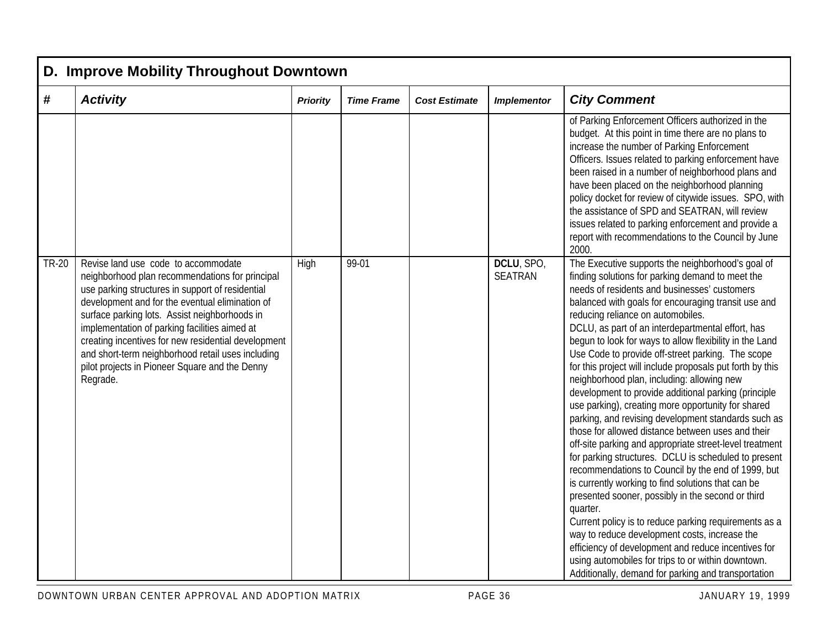|              | D. Improve Mobility Throughout Downtown                                                                                                                                                                                                                                                                                                                                                                                                                                   |                 |                   |                      |                              |                                                                                                                                                                                                                                                                                                                                                                                                                                                                                                                                                                                                                                                                                                                                                                                                                                                                                                                                                                                                                                                                                                                                                                                                                                                                                                                                           |  |  |  |  |  |
|--------------|---------------------------------------------------------------------------------------------------------------------------------------------------------------------------------------------------------------------------------------------------------------------------------------------------------------------------------------------------------------------------------------------------------------------------------------------------------------------------|-----------------|-------------------|----------------------|------------------------------|-------------------------------------------------------------------------------------------------------------------------------------------------------------------------------------------------------------------------------------------------------------------------------------------------------------------------------------------------------------------------------------------------------------------------------------------------------------------------------------------------------------------------------------------------------------------------------------------------------------------------------------------------------------------------------------------------------------------------------------------------------------------------------------------------------------------------------------------------------------------------------------------------------------------------------------------------------------------------------------------------------------------------------------------------------------------------------------------------------------------------------------------------------------------------------------------------------------------------------------------------------------------------------------------------------------------------------------------|--|--|--|--|--|
| #            | <b>Activity</b>                                                                                                                                                                                                                                                                                                                                                                                                                                                           | <b>Priority</b> | <b>Time Frame</b> | <b>Cost Estimate</b> | <b>Implementor</b>           | <b>City Comment</b>                                                                                                                                                                                                                                                                                                                                                                                                                                                                                                                                                                                                                                                                                                                                                                                                                                                                                                                                                                                                                                                                                                                                                                                                                                                                                                                       |  |  |  |  |  |
|              |                                                                                                                                                                                                                                                                                                                                                                                                                                                                           |                 |                   |                      |                              | of Parking Enforcement Officers authorized in the<br>budget. At this point in time there are no plans to<br>increase the number of Parking Enforcement<br>Officers. Issues related to parking enforcement have<br>been raised in a number of neighborhood plans and<br>have been placed on the neighborhood planning<br>policy docket for review of citywide issues. SPO, with<br>the assistance of SPD and SEATRAN, will review<br>issues related to parking enforcement and provide a<br>report with recommendations to the Council by June<br>2000.                                                                                                                                                                                                                                                                                                                                                                                                                                                                                                                                                                                                                                                                                                                                                                                    |  |  |  |  |  |
| <b>TR-20</b> | Revise land use code to accommodate<br>neighborhood plan recommendations for principal<br>use parking structures in support of residential<br>development and for the eventual elimination of<br>surface parking lots. Assist neighborhoods in<br>implementation of parking facilities aimed at<br>creating incentives for new residential development<br>and short-term neighborhood retail uses including<br>pilot projects in Pioneer Square and the Denny<br>Regrade. | High            | 99-01             |                      | DCLU, SPO,<br><b>SEATRAN</b> | The Executive supports the neighborhood's goal of<br>finding solutions for parking demand to meet the<br>needs of residents and businesses' customers<br>balanced with goals for encouraging transit use and<br>reducing reliance on automobiles.<br>DCLU, as part of an interdepartmental effort, has<br>begun to look for ways to allow flexibility in the Land<br>Use Code to provide off-street parking. The scope<br>for this project will include proposals put forth by this<br>neighborhood plan, including: allowing new<br>development to provide additional parking (principle<br>use parking), creating more opportunity for shared<br>parking, and revising development standards such as<br>those for allowed distance between uses and their<br>off-site parking and appropriate street-level treatment<br>for parking structures. DCLU is scheduled to present<br>recommendations to Council by the end of 1999, but<br>is currently working to find solutions that can be<br>presented sooner, possibly in the second or third<br>quarter.<br>Current policy is to reduce parking requirements as a<br>way to reduce development costs, increase the<br>efficiency of development and reduce incentives for<br>using automobiles for trips to or within downtown.<br>Additionally, demand for parking and transportation |  |  |  |  |  |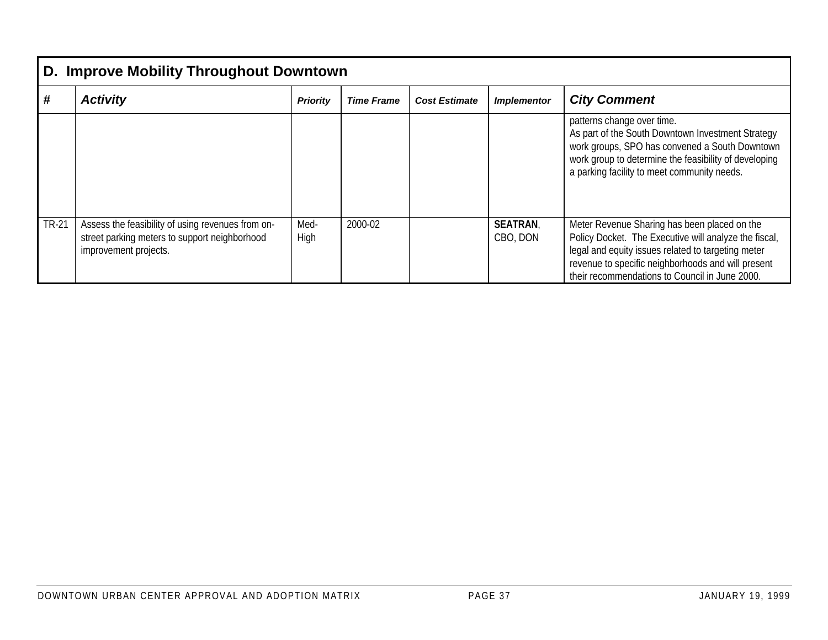|              | D. Improve Mobility Throughout Downtown                                                                                     |                 |                   |                      |                            |                                                                                                                                                                                                                                                                     |  |  |  |  |  |  |
|--------------|-----------------------------------------------------------------------------------------------------------------------------|-----------------|-------------------|----------------------|----------------------------|---------------------------------------------------------------------------------------------------------------------------------------------------------------------------------------------------------------------------------------------------------------------|--|--|--|--|--|--|
| #            | <b>Activity</b>                                                                                                             | <b>Priority</b> | <b>Time Frame</b> | <b>Cost Estimate</b> | <b>Implementor</b>         | <b>City Comment</b>                                                                                                                                                                                                                                                 |  |  |  |  |  |  |
|              |                                                                                                                             |                 |                   |                      |                            | patterns change over time.<br>As part of the South Downtown Investment Strategy<br>work groups, SPO has convened a South Downtown<br>work group to determine the feasibility of developing<br>a parking facility to meet community needs.                           |  |  |  |  |  |  |
| <b>TR-21</b> | Assess the feasibility of using revenues from on-<br>street parking meters to support neighborhood<br>improvement projects. | Med-<br>High    | 2000-02           |                      | <b>SEATRAN</b><br>CBO, DON | Meter Revenue Sharing has been placed on the<br>Policy Docket. The Executive will analyze the fiscal,<br>legal and equity issues related to targeting meter<br>revenue to specific neighborhoods and will present<br>their recommendations to Council in June 2000. |  |  |  |  |  |  |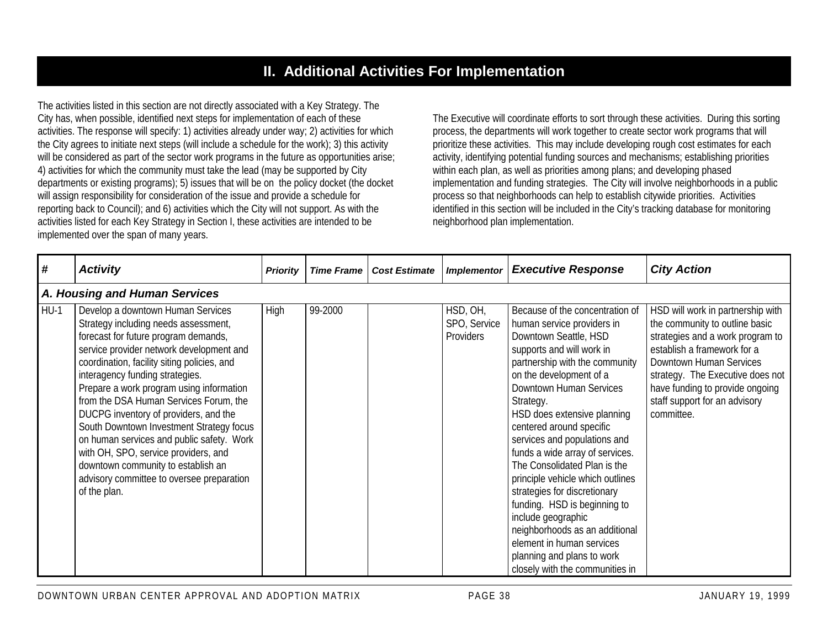## **II. Additional Activities For Implementation**

The activities listed in this section are not directly associated with a Key Strategy. The City has, when possible, identified next steps for implementation of each of these activities. The response will specify: 1) activities already under way; 2) activities for which the City agrees to initiate next steps (will include a schedule for the work); 3) this activity will be considered as part of the sector work programs in the future as opportunities arise; 4) activities for which the community must take the lead (may be supported by City departments or existing programs); 5) issues that will be on the policy docket (the docket will assign responsibility for consideration of the issue and provide a schedule for reporting back to Council); and 6) activities which the City will not support. As with the activities listed for each Key Strategy in Section I, these activities are intended to be implemented over the span of many years.

The Executive will coordinate efforts to sort through these activities. During this sorting process, the departments will work together to create sector work programs that will prioritize these activities. This may include developing rough cost estimates for each activity, identifying potential funding sources and mechanisms; establishing priorities within each plan, as well as priorities among plans; and developing phased implementation and funding strategies. The City will involve neighborhoods in a public process so that neighborhoods can help to establish citywide priorities. Activities identified in this section will be included in the City's tracking database for monitoring neighborhood plan implementation.

| $\boldsymbol{\#}$ | <b>Activity</b>                                                                                                                                                                                                                                                                                                                                                                                                                                                                                                                                                                                                    | <b>Priority</b> | <b>Time Frame</b> | <b>Cost Estimate</b> | <b>Implementor</b>                    | <b>Executive Response</b>                                                                                                                                                                                                                                                                                                                                                                                                                                                                                                                                                                                                                               | <b>City Action</b>                                                                                                                                                                                                                                                                             |  |  |  |  |  |
|-------------------|--------------------------------------------------------------------------------------------------------------------------------------------------------------------------------------------------------------------------------------------------------------------------------------------------------------------------------------------------------------------------------------------------------------------------------------------------------------------------------------------------------------------------------------------------------------------------------------------------------------------|-----------------|-------------------|----------------------|---------------------------------------|---------------------------------------------------------------------------------------------------------------------------------------------------------------------------------------------------------------------------------------------------------------------------------------------------------------------------------------------------------------------------------------------------------------------------------------------------------------------------------------------------------------------------------------------------------------------------------------------------------------------------------------------------------|------------------------------------------------------------------------------------------------------------------------------------------------------------------------------------------------------------------------------------------------------------------------------------------------|--|--|--|--|--|
|                   | A. Housing and Human Services                                                                                                                                                                                                                                                                                                                                                                                                                                                                                                                                                                                      |                 |                   |                      |                                       |                                                                                                                                                                                                                                                                                                                                                                                                                                                                                                                                                                                                                                                         |                                                                                                                                                                                                                                                                                                |  |  |  |  |  |
| $HU-1$            | Develop a downtown Human Services<br>Strategy including needs assessment,<br>forecast for future program demands,<br>service provider network development and<br>coordination, facility siting policies, and<br>interagency funding strategies.<br>Prepare a work program using information<br>from the DSA Human Services Forum, the<br>DUCPG inventory of providers, and the<br>South Downtown Investment Strategy focus<br>on human services and public safety. Work<br>with OH, SPO, service providers, and<br>downtown community to establish an<br>advisory committee to oversee preparation<br>of the plan. | High            | 99-2000           |                      | HSD, OH,<br>SPO, Service<br>Providers | Because of the concentration of<br>human service providers in<br>Downtown Seattle, HSD<br>supports and will work in<br>partnership with the community<br>on the development of a<br><b>Downtown Human Services</b><br>Strategy.<br>HSD does extensive planning<br>centered around specific<br>services and populations and<br>funds a wide array of services.<br>The Consolidated Plan is the<br>principle vehicle which outlines<br>strategies for discretionary<br>funding. HSD is beginning to<br>include geographic<br>neighborhoods as an additional<br>element in human services<br>planning and plans to work<br>closely with the communities in | HSD will work in partnership with<br>the community to outline basic<br>strategies and a work program to<br>establish a framework for a<br><b>Downtown Human Services</b><br>strategy. The Executive does not<br>have funding to provide ongoing<br>staff support for an advisory<br>committee. |  |  |  |  |  |